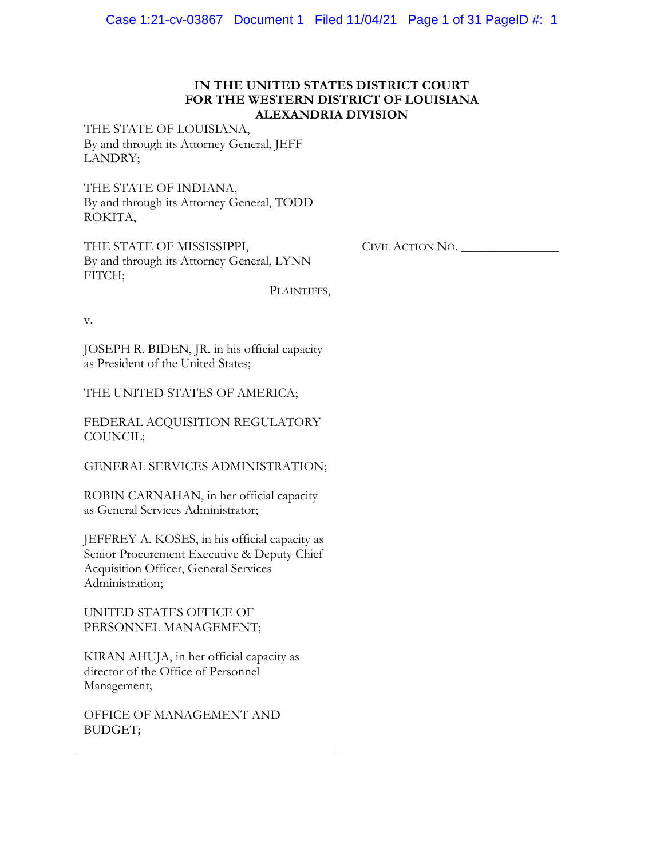| IN THE UNITED STATES DISTRICT COURT   |
|---------------------------------------|
| FOR THE WESTERN DISTRICT OF LOUISIANA |
| ALEXANDRIA DIVISION                   |

| THE STATE OF LOUISIANA,<br>By and through its Attorney General, JEFF<br>LANDRY;                                                                          |                  |
|----------------------------------------------------------------------------------------------------------------------------------------------------------|------------------|
| THE STATE OF INDIANA,<br>By and through its Attorney General, TODD<br>ROKITA,                                                                            |                  |
| THE STATE OF MISSISSIPPI,<br>By and through its Attorney General, LYNN<br>FITCH;<br>PLAINTIFFS,                                                          | CIVIL ACTION NO. |
| v.                                                                                                                                                       |                  |
| JOSEPH R. BIDEN, JR. in his official capacity<br>as President of the United States;                                                                      |                  |
| THE UNITED STATES OF AMERICA;                                                                                                                            |                  |
| FEDERAL ACQUISITION REGULATORY<br>COUNCIL;                                                                                                               |                  |
| GENERAL SERVICES ADMINISTRATION;                                                                                                                         |                  |
| ROBIN CARNAHAN, in her official capacity<br>as General Services Administrator;                                                                           |                  |
| JEFFREY A. KOSES, in his official capacity as<br>Senior Procurement Executive & Deputy Chief<br>Acquisition Officer, General Services<br>Administration; |                  |
| UNITED STATES OFFICE OF<br>PERSONNEL MANAGEMENT;                                                                                                         |                  |
| KIRAN AHUJA, in her official capacity as<br>director of the Office of Personnel<br>Management;                                                           |                  |
| OFFICE OF MANAGEMENT AND<br>BUDGET;                                                                                                                      |                  |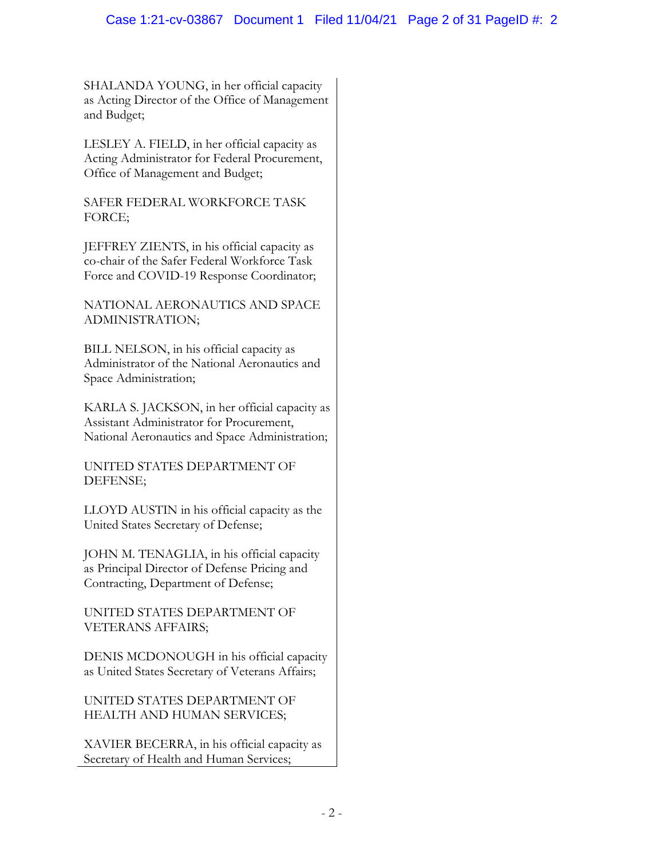## Case 1:21-cv-03867 Document 1 Filed 11/04/21 Page 2 of 31 PageID #: 2

SHALANDA YOUNG, in her official capacity as Acting Director of the Office of Management and Budget;

LESLEY A. FIELD, in her official capacity as Acting Administrator for Federal Procurement, Office of Management and Budget;

SAFER FEDERAL WORKFORCE TASK FORCE;

JEFFREY ZIENTS, in his official capacity as co-chair of the Safer Federal Workforce Task Force and COVID-19 Response Coordinator;

NATIONAL AERONAUTICS AND SPACE ADMINISTRATION;

BILL NELSON, in his official capacity as Administrator of the National Aeronautics and Space Administration;

KARLA S. JACKSON, in her official capacity as Assistant Administrator for Procurement, National Aeronautics and Space Administration;

UNITED STATES DEPARTMENT OF DEFENSE;

LLOYD AUSTIN in his official capacity as the United States Secretary of Defense;

JOHN M. TENAGLIA, in his official capacity as Principal Director of Defense Pricing and Contracting, Department of Defense;

UNITED STATES DEPARTMENT OF VETERANS AFFAIRS;

DENIS MCDONOUGH in his official capacity as United States Secretary of Veterans Affairs;

UNITED STATES DEPARTMENT OF HEALTH AND HUMAN SERVICES;

XAVIER BECERRA, in his official capacity as Secretary of Health and Human Services;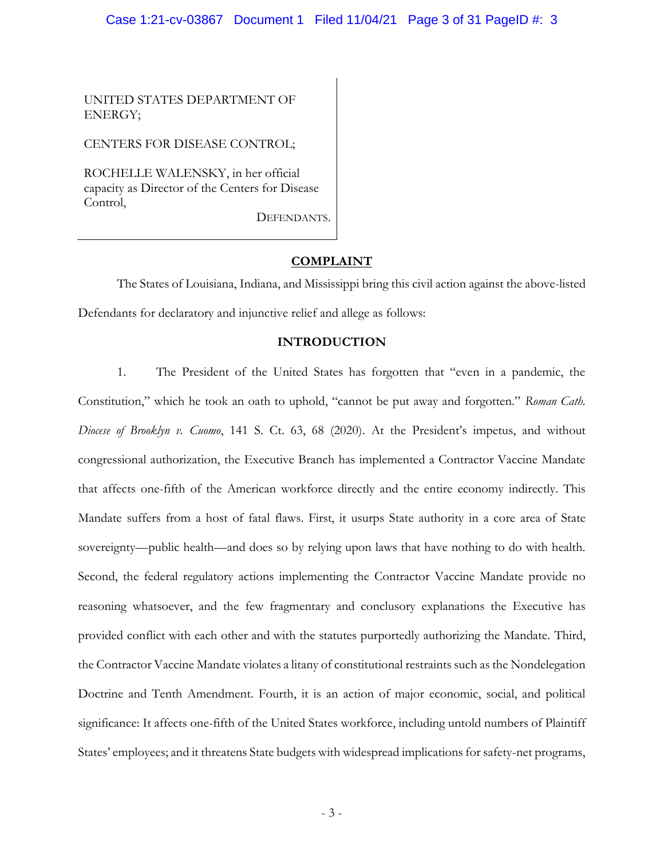#### Case 1:21-cv-03867 Document 1 Filed 11/04/21 Page 3 of 31 PageID #: 3

UNITED STATES DEPARTMENT OF ENERGY;

CENTERS FOR DISEASE CONTROL;

ROCHELLE WALENSKY, in her official capacity as Director of the Centers for Disease Control,

DEFENDANTS.

### **COMPLAINT**

The States of Louisiana, Indiana, and Mississippi bring this civil action against the above-listed Defendants for declaratory and injunctive relief and allege as follows:

### **INTRODUCTION**

1. The President of the United States has forgotten that "even in a pandemic, the Constitution," which he took an oath to uphold, "cannot be put away and forgotten." *Roman Cath. Diocese of Brooklyn v. Cuomo*, 141 S. Ct. 63, 68 (2020). At the President's impetus, and without congressional authorization, the Executive Branch has implemented a Contractor Vaccine Mandate that affects one-fifth of the American workforce directly and the entire economy indirectly. This Mandate suffers from a host of fatal flaws. First, it usurps State authority in a core area of State sovereignty—public health—and does so by relying upon laws that have nothing to do with health. Second, the federal regulatory actions implementing the Contractor Vaccine Mandate provide no reasoning whatsoever, and the few fragmentary and conclusory explanations the Executive has provided conflict with each other and with the statutes purportedly authorizing the Mandate. Third, the Contractor Vaccine Mandate violates a litany of constitutional restraints such as the Nondelegation Doctrine and Tenth Amendment. Fourth, it is an action of major economic, social, and political significance: It affects one-fifth of the United States workforce, including untold numbers of Plaintiff States' employees; and it threatens State budgets with widespread implications for safety-net programs,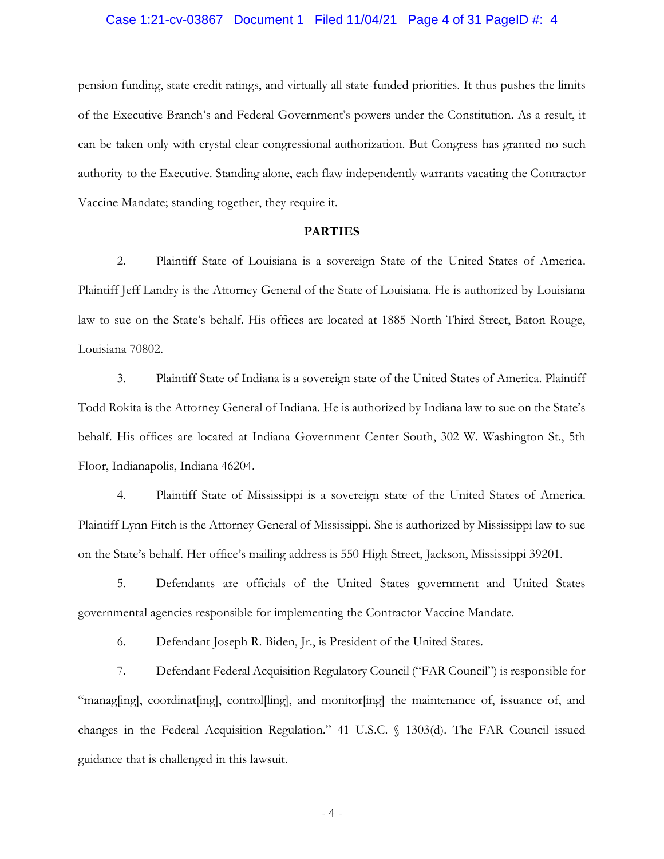#### Case 1:21-cv-03867 Document 1 Filed 11/04/21 Page 4 of 31 PageID #: 4

pension funding, state credit ratings, and virtually all state-funded priorities. It thus pushes the limits of the Executive Branch's and Federal Government's powers under the Constitution. As a result, it can be taken only with crystal clear congressional authorization. But Congress has granted no such authority to the Executive. Standing alone, each flaw independently warrants vacating the Contractor Vaccine Mandate; standing together, they require it.

#### **PARTIES**

2. Plaintiff State of Louisiana is a sovereign State of the United States of America. Plaintiff Jeff Landry is the Attorney General of the State of Louisiana. He is authorized by Louisiana law to sue on the State's behalf. His offices are located at 1885 North Third Street, Baton Rouge, Louisiana 70802.

3. Plaintiff State of Indiana is a sovereign state of the United States of America. Plaintiff Todd Rokita is the Attorney General of Indiana. He is authorized by Indiana law to sue on the State's behalf. His offices are located at Indiana Government Center South, 302 W. Washington St., 5th Floor, Indianapolis, Indiana 46204.

4. Plaintiff State of Mississippi is a sovereign state of the United States of America. Plaintiff Lynn Fitch is the Attorney General of Mississippi. She is authorized by Mississippi law to sue on the State's behalf. Her office's mailing address is 550 High Street, Jackson, Mississippi 39201.

5. Defendants are officials of the United States government and United States governmental agencies responsible for implementing the Contractor Vaccine Mandate.

6. Defendant Joseph R. Biden, Jr., is President of the United States.

7. Defendant Federal Acquisition Regulatory Council ("FAR Council") is responsible for "manag[ing], coordinat[ing], control[ling], and monitor[ing] the maintenance of, issuance of, and changes in the Federal Acquisition Regulation." 41 U.S.C. § 1303(d). The FAR Council issued guidance that is challenged in this lawsuit.

- 4 -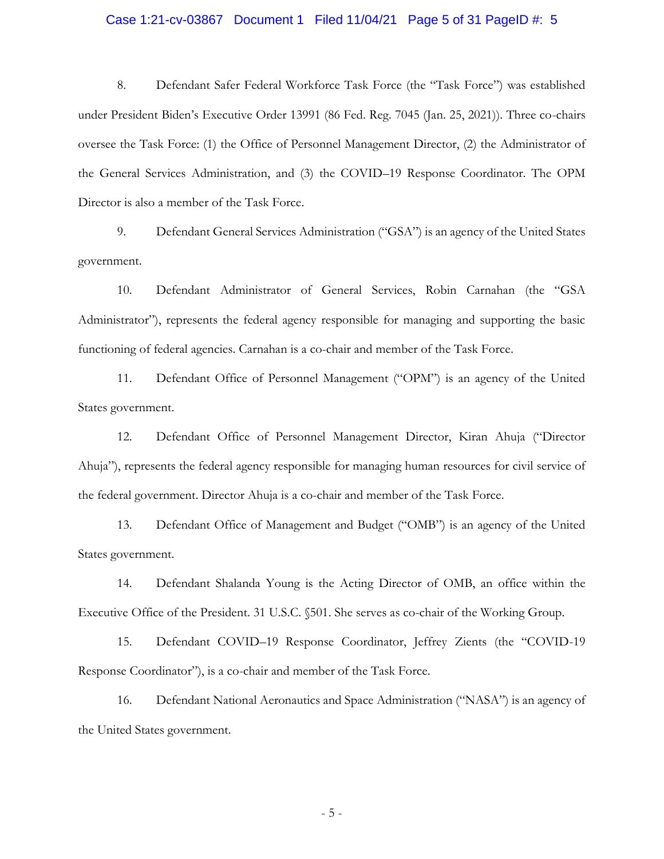#### Case 1:21-cv-03867 Document 1 Filed 11/04/21 Page 5 of 31 PageID #: 5

8. Defendant Safer Federal Workforce Task Force (the "Task Force") was established under President Biden's Executive Order 13991 (86 Fed. Reg. 7045 (Jan. 25, 2021)). Three co-chairs oversee the Task Force: (1) the Office of Personnel Management Director, (2) the Administrator of the General Services Administration, and (3) the COVID–19 Response Coordinator. The OPM Director is also a member of the Task Force.

9. Defendant General Services Administration ("GSA") is an agency of the United States government.

10. Defendant Administrator of General Services, Robin Carnahan (the "GSA Administrator"), represents the federal agency responsible for managing and supporting the basic functioning of federal agencies. Carnahan is a co-chair and member of the Task Force.

11. Defendant Office of Personnel Management ("OPM") is an agency of the United States government.

12. Defendant Office of Personnel Management Director, Kiran Ahuja ("Director Ahuja"), represents the federal agency responsible for managing human resources for civil service of the federal government. Director Ahuja is a co-chair and member of the Task Force.

13. Defendant Office of Management and Budget ("OMB") is an agency of the United States government.

14. Defendant Shalanda Young is the Acting Director of OMB, an office within the Executive Office of the President. 31 U.S.C. §501. She serves as co-chair of the Working Group.

15. Defendant COVID–19 Response Coordinator, Jeffrey Zients (the "COVID-19 Response Coordinator"), is a co-chair and member of the Task Force.

16. Defendant National Aeronautics and Space Administration ("NASA") is an agency of the United States government.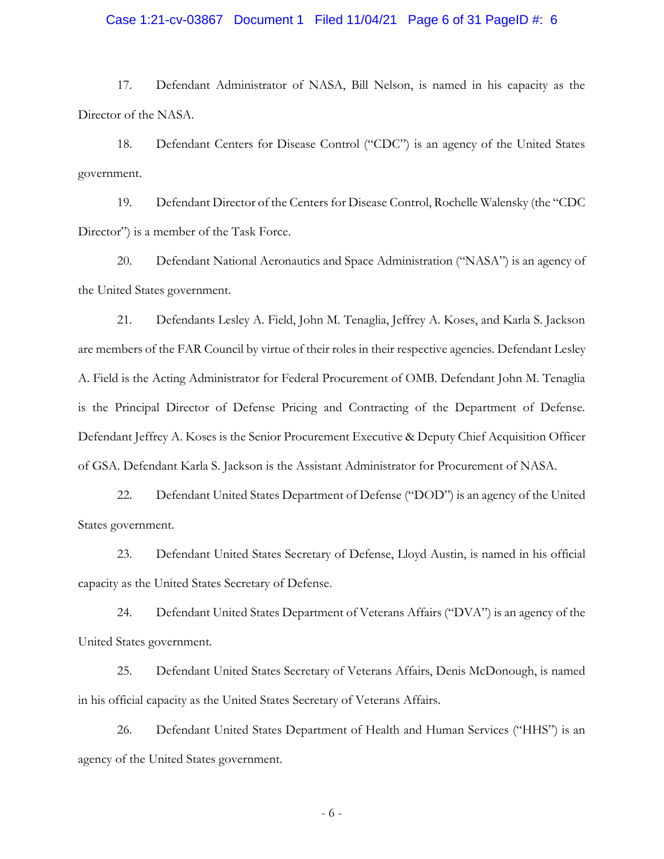#### Case 1:21-cv-03867 Document 1 Filed 11/04/21 Page 6 of 31 PageID #: 6

17. Defendant Administrator of NASA, Bill Nelson, is named in his capacity as the Director of the NASA.

18. Defendant Centers for Disease Control ("CDC") is an agency of the United States government.

19. Defendant Director of the Centers for Disease Control, Rochelle Walensky (the "CDC Director") is a member of the Task Force.

20. Defendant National Aeronautics and Space Administration ("NASA") is an agency of the United States government.

21. Defendants Lesley A. Field, John M. Tenaglia, Jeffrey A. Koses, and Karla S. Jackson are members of the FAR Council by virtue of their roles in their respective agencies. Defendant Lesley A. Field is the Acting Administrator for Federal Procurement of OMB. Defendant John M. Tenaglia is the Principal Director of Defense Pricing and Contracting of the Department of Defense. Defendant Jeffrey A. Koses is the Senior Procurement Executive & Deputy Chief Acquisition Officer of GSA. Defendant Karla S. Jackson is the Assistant Administrator for Procurement of NASA.

22. Defendant United States Department of Defense ("DOD") is an agency of the United States government.

23. Defendant United States Secretary of Defense, Lloyd Austin, is named in his official capacity as the United States Secretary of Defense.

24. Defendant United States Department of Veterans Affairs ("DVA") is an agency of the United States government.

25. Defendant United States Secretary of Veterans Affairs, Denis McDonough, is named in his official capacity as the United States Secretary of Veterans Affairs.

26. Defendant United States Department of Health and Human Services ("HHS") is an agency of the United States government.

- 6 -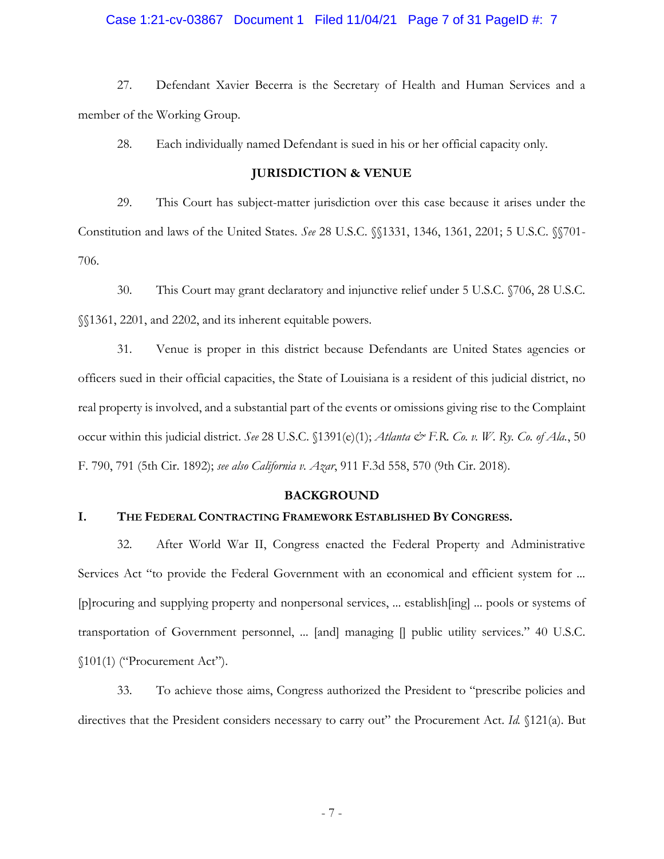#### Case 1:21-cv-03867 Document 1 Filed 11/04/21 Page 7 of 31 PageID #: 7

27. Defendant Xavier Becerra is the Secretary of Health and Human Services and a member of the Working Group.

28. Each individually named Defendant is sued in his or her official capacity only.

### **JURISDICTION & VENUE**

29. This Court has subject-matter jurisdiction over this case because it arises under the Constitution and laws of the United States. *See* 28 U.S.C. §§1331, 1346, 1361, 2201; 5 U.S.C. §§701- 706.

30. This Court may grant declaratory and injunctive relief under 5 U.S.C. §706, 28 U.S.C. §§1361, 2201, and 2202, and its inherent equitable powers.

31. Venue is proper in this district because Defendants are United States agencies or officers sued in their official capacities, the State of Louisiana is a resident of this judicial district, no real property is involved, and a substantial part of the events or omissions giving rise to the Complaint occur within this judicial district. *See* 28 U.S.C. §1391(e)(1); *Atlanta & F.R. Co. v. W. Ry. Co. of Ala.*, 50 F. 790, 791 (5th Cir. 1892); *see also California v. Azar*, 911 F.3d 558, 570 (9th Cir. 2018).

#### **BACKGROUND**

### **I. THE FEDERAL CONTRACTING FRAMEWORK ESTABLISHED BY CONGRESS.**

32. After World War II, Congress enacted the Federal Property and Administrative Services Act "to provide the Federal Government with an economical and efficient system for ... [p]rocuring and supplying property and nonpersonal services, ... establish[ing] ... pools or systems of transportation of Government personnel, ... [and] managing [] public utility services." 40 U.S.C. §101(1) ("Procurement Act").

33. To achieve those aims, Congress authorized the President to "prescribe policies and directives that the President considers necessary to carry out" the Procurement Act. *Id.* §121(a). But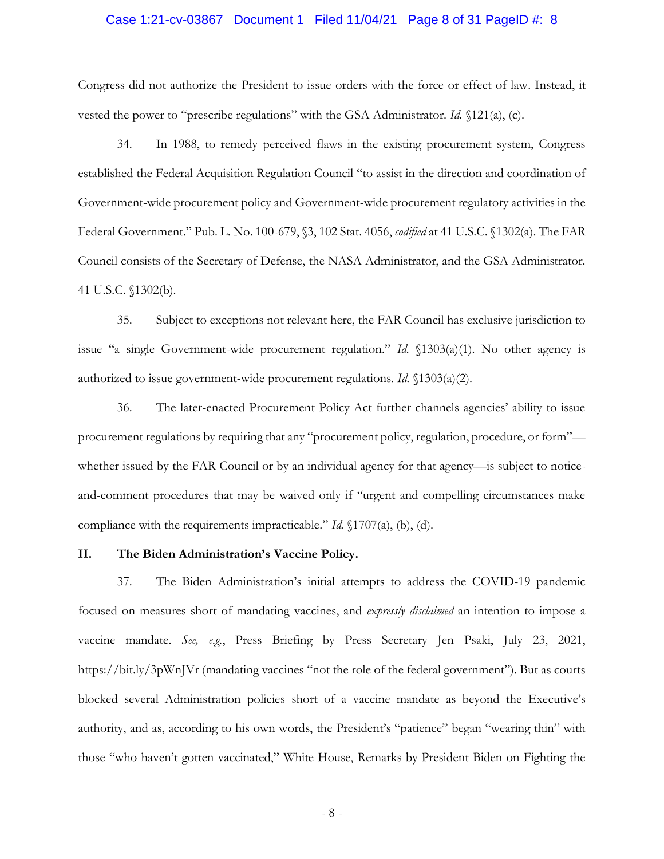#### Case 1:21-cv-03867 Document 1 Filed 11/04/21 Page 8 of 31 PageID #: 8

Congress did not authorize the President to issue orders with the force or effect of law. Instead, it vested the power to "prescribe regulations" with the GSA Administrator. *Id.* §121(a), (c).

34. In 1988, to remedy perceived flaws in the existing procurement system, Congress established the Federal Acquisition Regulation Council "to assist in the direction and coordination of Government-wide procurement policy and Government-wide procurement regulatory activities in the Federal Government." Pub. L. No. 100-679, §3, 102 Stat. 4056, *codified* at 41 U.S.C. §1302(a). The FAR Council consists of the Secretary of Defense, the NASA Administrator, and the GSA Administrator. 41 U.S.C. §1302(b).

35. Subject to exceptions not relevant here, the FAR Council has exclusive jurisdiction to issue "a single Government-wide procurement regulation." *Id.* §1303(a)(1). No other agency is authorized to issue government-wide procurement regulations. *Id.* §1303(a)(2).

36. The later-enacted Procurement Policy Act further channels agencies' ability to issue procurement regulations by requiring that any "procurement policy, regulation, procedure, or form" whether issued by the FAR Council or by an individual agency for that agency—is subject to noticeand-comment procedures that may be waived only if "urgent and compelling circumstances make compliance with the requirements impracticable." *Id.* §1707(a), (b), (d).

#### **II. The Biden Administration's Vaccine Policy.**

37. The Biden Administration's initial attempts to address the COVID-19 pandemic focused on measures short of mandating vaccines, and *expressly disclaimed* an intention to impose a vaccine mandate. *See, e.g.*, Press Briefing by Press Secretary Jen Psaki, July 23, 2021, https://bit.ly/3pWnJVr (mandating vaccines "not the role of the federal government"). But as courts blocked several Administration policies short of a vaccine mandate as beyond the Executive's authority, and as, according to his own words, the President's "patience" began "wearing thin" with those "who haven't gotten vaccinated," White House, Remarks by President Biden on Fighting the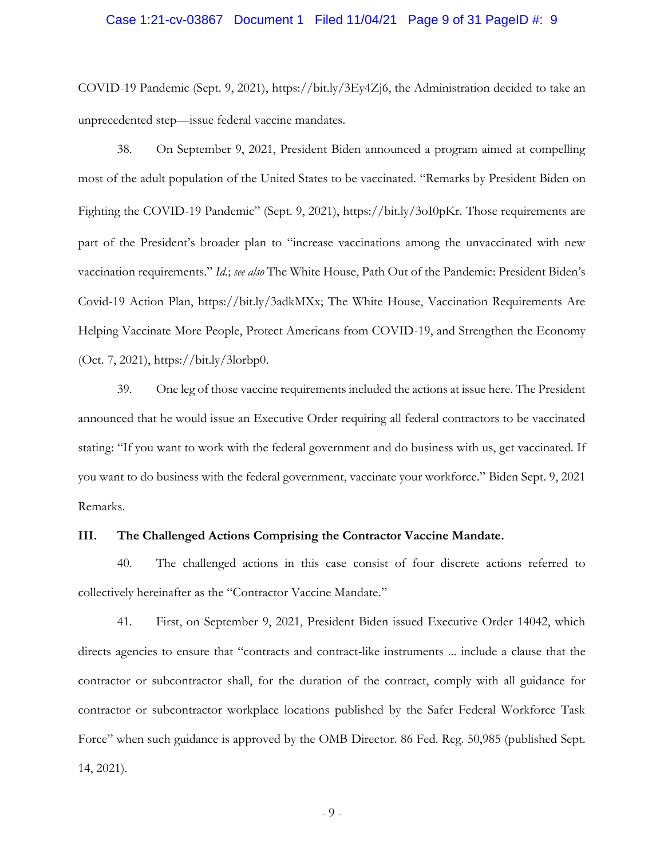#### Case 1:21-cv-03867 Document 1 Filed 11/04/21 Page 9 of 31 PageID #: 9

COVID-19 Pandemic (Sept. 9, 2021), https://bit.ly/3Ey4Zj6, the Administration decided to take an unprecedented step—issue federal vaccine mandates.

38. On September 9, 2021, President Biden announced a program aimed at compelling most of the adult population of the United States to be vaccinated. "Remarks by President Biden on Fighting the COVID-19 Pandemic" (Sept. 9, 2021), https://bit.ly/3oI0pKr. Those requirements are part of the President's broader plan to "increase vaccinations among the unvaccinated with new vaccination requirements." *Id.*; *see also* The White House, Path Out of the Pandemic: President Biden's Covid-19 Action Plan, https://bit.ly/3adkMXx; The White House, Vaccination Requirements Are Helping Vaccinate More People, Protect Americans from COVID-19, and Strengthen the Economy (Oct. 7, 2021), https://bit.ly/3lorbp0.

39. One leg of those vaccine requirements included the actions at issue here. The President announced that he would issue an Executive Order requiring all federal contractors to be vaccinated stating: "If you want to work with the federal government and do business with us, get vaccinated. If you want to do business with the federal government, vaccinate your workforce." Biden Sept. 9, 2021 Remarks.

#### **III. The Challenged Actions Comprising the Contractor Vaccine Mandate.**

40. The challenged actions in this case consist of four discrete actions referred to collectively hereinafter as the "Contractor Vaccine Mandate."

41. First, on September 9, 2021, President Biden issued Executive Order 14042, which directs agencies to ensure that "contracts and contract-like instruments ... include a clause that the contractor or subcontractor shall, for the duration of the contract, comply with all guidance for contractor or subcontractor workplace locations published by the Safer Federal Workforce Task Force" when such guidance is approved by the OMB Director. 86 Fed. Reg. 50,985 (published Sept. 14, 2021).

- 9 -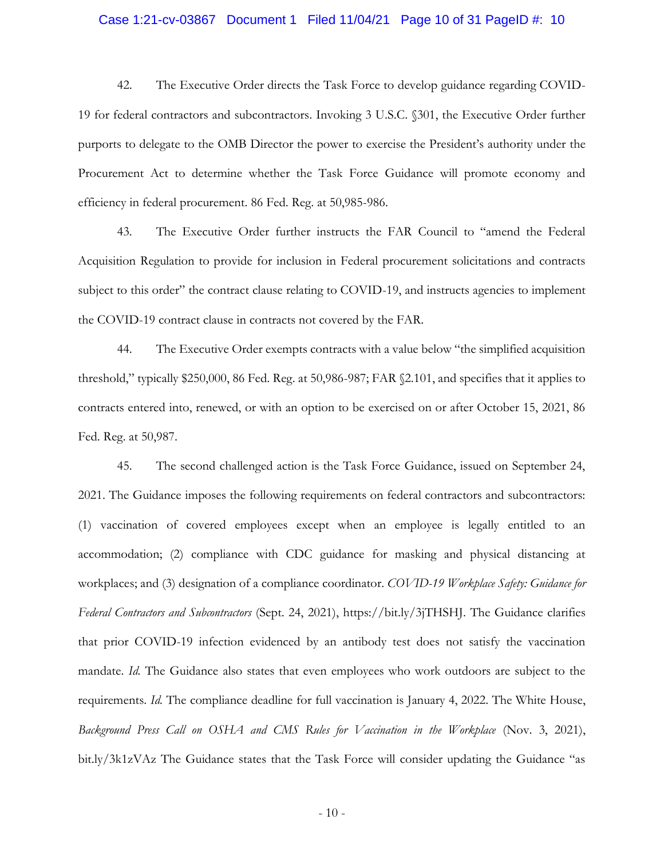#### Case 1:21-cv-03867 Document 1 Filed 11/04/21 Page 10 of 31 PageID #: 10

42. The Executive Order directs the Task Force to develop guidance regarding COVID-19 for federal contractors and subcontractors. Invoking 3 U.S.C. §301, the Executive Order further purports to delegate to the OMB Director the power to exercise the President's authority under the Procurement Act to determine whether the Task Force Guidance will promote economy and efficiency in federal procurement. 86 Fed. Reg. at 50,985-986.

43. The Executive Order further instructs the FAR Council to "amend the Federal Acquisition Regulation to provide for inclusion in Federal procurement solicitations and contracts subject to this order" the contract clause relating to COVID-19, and instructs agencies to implement the COVID-19 contract clause in contracts not covered by the FAR.

44. The Executive Order exempts contracts with a value below "the simplified acquisition threshold," typically \$250,000, 86 Fed. Reg. at 50,986-987; FAR §2.101, and specifies that it applies to contracts entered into, renewed, or with an option to be exercised on or after October 15, 2021, 86 Fed. Reg. at 50,987.

45. The second challenged action is the Task Force Guidance, issued on September 24, 2021. The Guidance imposes the following requirements on federal contractors and subcontractors: (1) vaccination of covered employees except when an employee is legally entitled to an accommodation; (2) compliance with CDC guidance for masking and physical distancing at workplaces; and (3) designation of a compliance coordinator. *COVID-19 Workplace Safety: Guidance for Federal Contractors and Subcontractors* (Sept. 24, 2021), https://bit.ly/3jTHSHJ. The Guidance clarifies that prior COVID-19 infection evidenced by an antibody test does not satisfy the vaccination mandate. *Id.* The Guidance also states that even employees who work outdoors are subject to the requirements. *Id.* The compliance deadline for full vaccination is January 4, 2022. The White House, *Background Press Call on OSHA and CMS Rules for Vaccination in the Workplace* (Nov. 3, 2021), bit.ly/3k1zVAz The Guidance states that the Task Force will consider updating the Guidance "as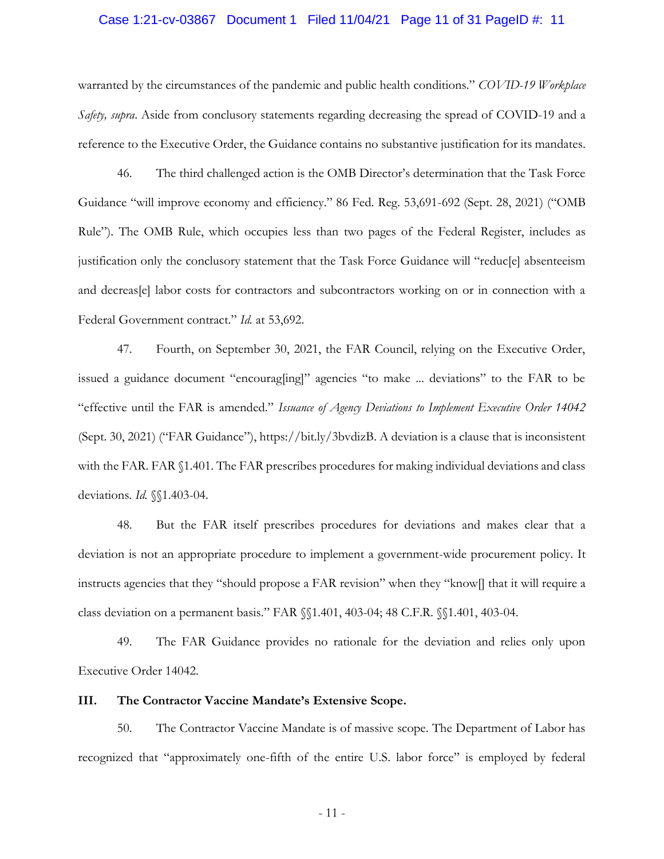#### Case 1:21-cv-03867 Document 1 Filed 11/04/21 Page 11 of 31 PageID #: 11

warranted by the circumstances of the pandemic and public health conditions." *COVID-19 Workplace Safety, supra*. Aside from conclusory statements regarding decreasing the spread of COVID-19 and a reference to the Executive Order, the Guidance contains no substantive justification for its mandates.

46. The third challenged action is the OMB Director's determination that the Task Force Guidance "will improve economy and efficiency." 86 Fed. Reg. 53,691-692 (Sept. 28, 2021) ("OMB Rule"). The OMB Rule, which occupies less than two pages of the Federal Register, includes as justification only the conclusory statement that the Task Force Guidance will "reduc[e] absenteeism and decreas[e] labor costs for contractors and subcontractors working on or in connection with a Federal Government contract." *Id.* at 53,692.

47. Fourth, on September 30, 2021, the FAR Council, relying on the Executive Order, issued a guidance document "encourag[ing]" agencies "to make ... deviations" to the FAR to be "effective until the FAR is amended." *Issuance of Agency Deviations to Implement Executive Order 14042*  (Sept. 30, 2021) ("FAR Guidance"), https://bit.ly/3bvdizB. A deviation is a clause that is inconsistent with the FAR. FAR §1.401. The FAR prescribes procedures for making individual deviations and class deviations. *Id.* §§1.403-04.

48. But the FAR itself prescribes procedures for deviations and makes clear that a deviation is not an appropriate procedure to implement a government-wide procurement policy. It instructs agencies that they "should propose a FAR revision" when they "know[] that it will require a class deviation on a permanent basis." FAR §§1.401, 403-04; 48 C.F.R. §§1.401, 403-04.

49. The FAR Guidance provides no rationale for the deviation and relies only upon Executive Order 14042.

### **III. The Contractor Vaccine Mandate's Extensive Scope.**

50. The Contractor Vaccine Mandate is of massive scope. The Department of Labor has recognized that "approximately one-fifth of the entire U.S. labor force" is employed by federal

- 11 -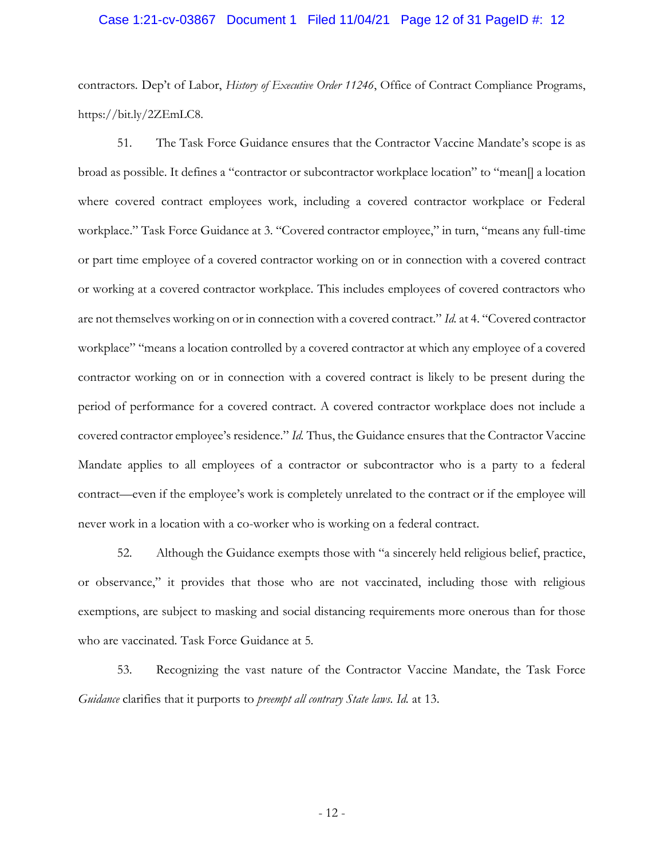#### Case 1:21-cv-03867 Document 1 Filed 11/04/21 Page 12 of 31 PageID #: 12

contractors. Dep't of Labor, *History of Executive Order 11246*, Office of Contract Compliance Programs, https://bit.ly/2ZEmLC8.

51. The Task Force Guidance ensures that the Contractor Vaccine Mandate's scope is as broad as possible. It defines a "contractor or subcontractor workplace location" to "mean[] a location where covered contract employees work, including a covered contractor workplace or Federal workplace." Task Force Guidance at 3. "Covered contractor employee," in turn, "means any full-time or part time employee of a covered contractor working on or in connection with a covered contract or working at a covered contractor workplace. This includes employees of covered contractors who are not themselves working on or in connection with a covered contract." *Id.* at 4. "Covered contractor workplace" "means a location controlled by a covered contractor at which any employee of a covered contractor working on or in connection with a covered contract is likely to be present during the period of performance for a covered contract. A covered contractor workplace does not include a covered contractor employee's residence." *Id.* Thus, the Guidance ensures that the Contractor Vaccine Mandate applies to all employees of a contractor or subcontractor who is a party to a federal contract—even if the employee's work is completely unrelated to the contract or if the employee will never work in a location with a co-worker who is working on a federal contract.

52. Although the Guidance exempts those with "a sincerely held religious belief, practice, or observance," it provides that those who are not vaccinated, including those with religious exemptions, are subject to masking and social distancing requirements more onerous than for those who are vaccinated. Task Force Guidance at 5.

53. Recognizing the vast nature of the Contractor Vaccine Mandate, the Task Force *Guidance* clarifies that it purports to *preempt all contrary State laws. Id.* at 13.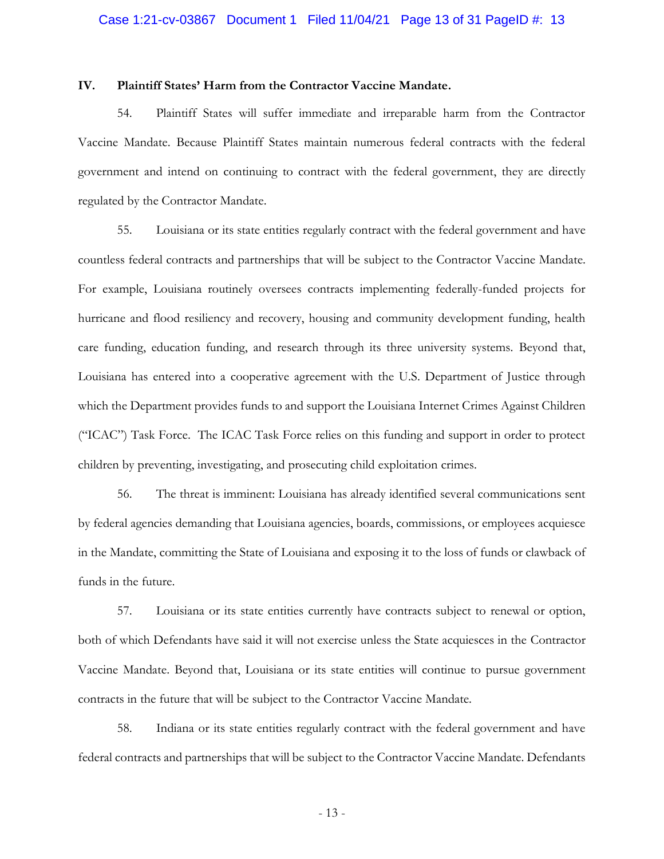#### **IV. Plaintiff States' Harm from the Contractor Vaccine Mandate.**

54. Plaintiff States will suffer immediate and irreparable harm from the Contractor Vaccine Mandate. Because Plaintiff States maintain numerous federal contracts with the federal government and intend on continuing to contract with the federal government, they are directly regulated by the Contractor Mandate.

55. Louisiana or its state entities regularly contract with the federal government and have countless federal contracts and partnerships that will be subject to the Contractor Vaccine Mandate. For example, Louisiana routinely oversees contracts implementing federally-funded projects for hurricane and flood resiliency and recovery, housing and community development funding, health care funding, education funding, and research through its three university systems. Beyond that, Louisiana has entered into a cooperative agreement with the U.S. Department of Justice through which the Department provides funds to and support the Louisiana Internet Crimes Against Children ("ICAC") Task Force. The ICAC Task Force relies on this funding and support in order to protect children by preventing, investigating, and prosecuting child exploitation crimes.

56. The threat is imminent: Louisiana has already identified several communications sent by federal agencies demanding that Louisiana agencies, boards, commissions, or employees acquiesce in the Mandate, committing the State of Louisiana and exposing it to the loss of funds or clawback of funds in the future.

57. Louisiana or its state entities currently have contracts subject to renewal or option, both of which Defendants have said it will not exercise unless the State acquiesces in the Contractor Vaccine Mandate. Beyond that, Louisiana or its state entities will continue to pursue government contracts in the future that will be subject to the Contractor Vaccine Mandate.

58. Indiana or its state entities regularly contract with the federal government and have federal contracts and partnerships that will be subject to the Contractor Vaccine Mandate. Defendants

- 13 -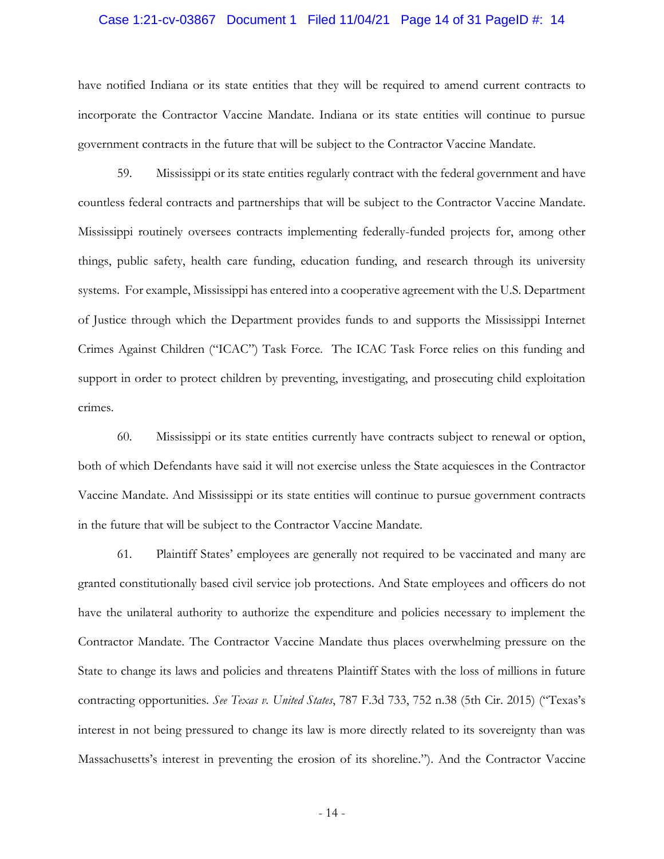#### Case 1:21-cv-03867 Document 1 Filed 11/04/21 Page 14 of 31 PageID #: 14

have notified Indiana or its state entities that they will be required to amend current contracts to incorporate the Contractor Vaccine Mandate. Indiana or its state entities will continue to pursue government contracts in the future that will be subject to the Contractor Vaccine Mandate.

59. Mississippi or its state entities regularly contract with the federal government and have countless federal contracts and partnerships that will be subject to the Contractor Vaccine Mandate. Mississippi routinely oversees contracts implementing federally-funded projects for, among other things, public safety, health care funding, education funding, and research through its university systems. For example, Mississippi has entered into a cooperative agreement with the U.S. Department of Justice through which the Department provides funds to and supports the Mississippi Internet Crimes Against Children ("ICAC") Task Force. The ICAC Task Force relies on this funding and support in order to protect children by preventing, investigating, and prosecuting child exploitation crimes.

60. Mississippi or its state entities currently have contracts subject to renewal or option, both of which Defendants have said it will not exercise unless the State acquiesces in the Contractor Vaccine Mandate. And Mississippi or its state entities will continue to pursue government contracts in the future that will be subject to the Contractor Vaccine Mandate.

61. Plaintiff States' employees are generally not required to be vaccinated and many are granted constitutionally based civil service job protections. And State employees and officers do not have the unilateral authority to authorize the expenditure and policies necessary to implement the Contractor Mandate. The Contractor Vaccine Mandate thus places overwhelming pressure on the State to change its laws and policies and threatens Plaintiff States with the loss of millions in future contracting opportunities. *See Texas v. United States*, 787 F.3d 733, 752 n.38 (5th Cir. 2015) ("Texas's interest in not being pressured to change its law is more directly related to its sovereignty than was Massachusetts's interest in preventing the erosion of its shoreline."). And the Contractor Vaccine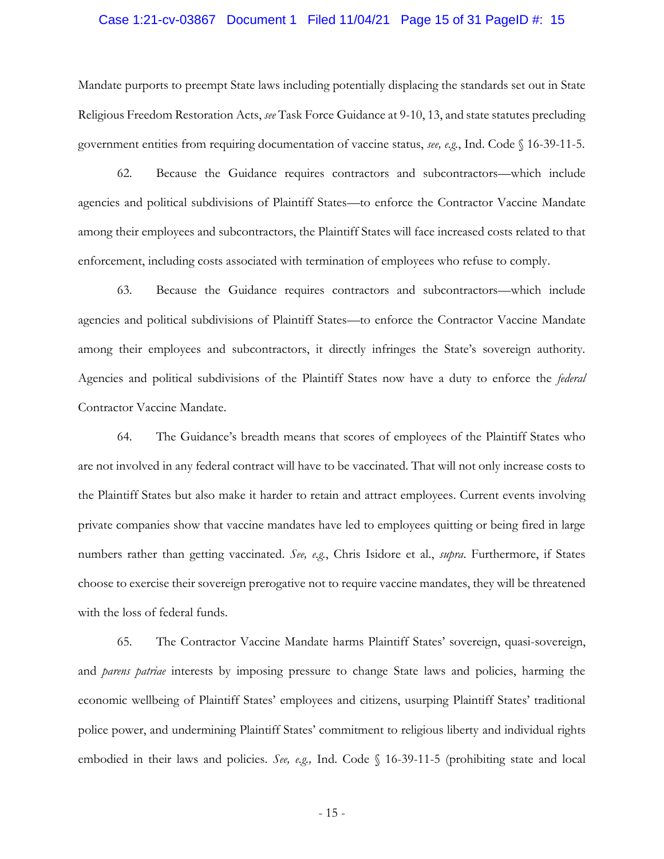#### Case 1:21-cv-03867 Document 1 Filed 11/04/21 Page 15 of 31 PageID #: 15

Mandate purports to preempt State laws including potentially displacing the standards set out in State Religious Freedom Restoration Acts, *see* Task Force Guidance at 9-10, 13, and state statutes precluding government entities from requiring documentation of vaccine status, *see, e.g.*, Ind. Code § 16-39-11-5.

62. Because the Guidance requires contractors and subcontractors—which include agencies and political subdivisions of Plaintiff States—to enforce the Contractor Vaccine Mandate among their employees and subcontractors, the Plaintiff States will face increased costs related to that enforcement, including costs associated with termination of employees who refuse to comply.

63. Because the Guidance requires contractors and subcontractors—which include agencies and political subdivisions of Plaintiff States—to enforce the Contractor Vaccine Mandate among their employees and subcontractors, it directly infringes the State's sovereign authority. Agencies and political subdivisions of the Plaintiff States now have a duty to enforce the *federal*  Contractor Vaccine Mandate.

64. The Guidance's breadth means that scores of employees of the Plaintiff States who are not involved in any federal contract will have to be vaccinated. That will not only increase costs to the Plaintiff States but also make it harder to retain and attract employees. Current events involving private companies show that vaccine mandates have led to employees quitting or being fired in large numbers rather than getting vaccinated. *See, e.g.*, Chris Isidore et al., *supra*. Furthermore, if States choose to exercise their sovereign prerogative not to require vaccine mandates, they will be threatened with the loss of federal funds.

65. The Contractor Vaccine Mandate harms Plaintiff States' sovereign, quasi-sovereign, and *parens patriae* interests by imposing pressure to change State laws and policies, harming the economic wellbeing of Plaintiff States' employees and citizens, usurping Plaintiff States' traditional police power, and undermining Plaintiff States' commitment to religious liberty and individual rights embodied in their laws and policies. *See, e.g.,* Ind. Code § 16-39-11-5 (prohibiting state and local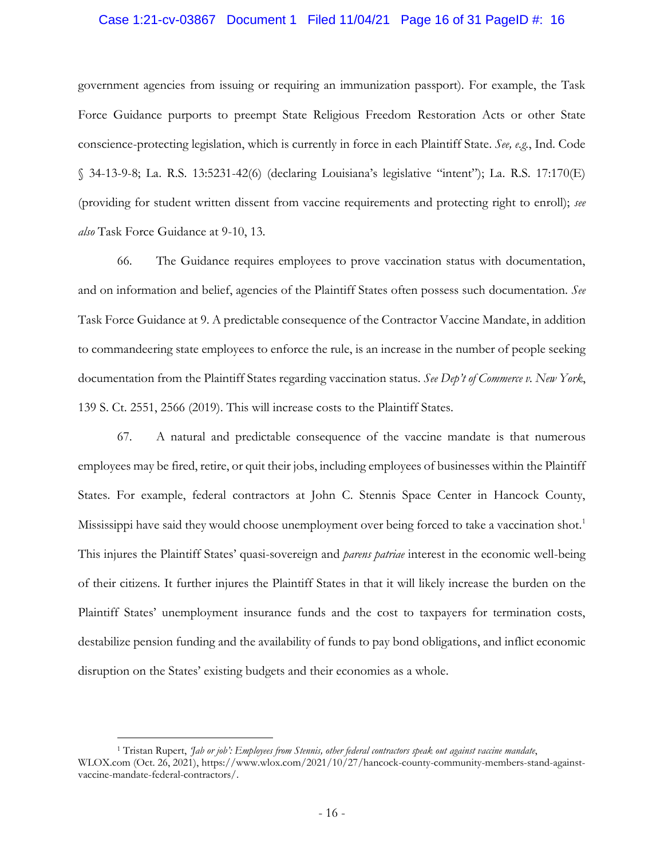#### Case 1:21-cv-03867 Document 1 Filed 11/04/21 Page 16 of 31 PageID #: 16

government agencies from issuing or requiring an immunization passport). For example, the Task Force Guidance purports to preempt State Religious Freedom Restoration Acts or other State conscience-protecting legislation, which is currently in force in each Plaintiff State. *See, e.g.*, Ind. Code § 34-13-9-8; La. R.S. 13:5231-42(6) (declaring Louisiana's legislative "intent"); La. R.S. 17:170(E) (providing for student written dissent from vaccine requirements and protecting right to enroll); *see also* Task Force Guidance at 9-10, 13.

66. The Guidance requires employees to prove vaccination status with documentation, and on information and belief, agencies of the Plaintiff States often possess such documentation. *See*  Task Force Guidance at 9. A predictable consequence of the Contractor Vaccine Mandate, in addition to commandeering state employees to enforce the rule, is an increase in the number of people seeking documentation from the Plaintiff States regarding vaccination status. *See Dep't of Commerce v. New York*, 139 S. Ct. 2551, 2566 (2019). This will increase costs to the Plaintiff States.

67. A natural and predictable consequence of the vaccine mandate is that numerous employees may be fired, retire, or quit their jobs, including employees of businesses within the Plaintiff States. For example, federal contractors at John C. Stennis Space Center in Hancock County, Mississippi have said they would choose unemployment over being forced to take a vaccination shot.<sup>1</sup> This injures the Plaintiff States' quasi-sovereign and *parens patriae* interest in the economic well-being of their citizens. It further injures the Plaintiff States in that it will likely increase the burden on the Plaintiff States' unemployment insurance funds and the cost to taxpayers for termination costs, destabilize pension funding and the availability of funds to pay bond obligations, and inflict economic disruption on the States' existing budgets and their economies as a whole.

 $\overline{a}$ 

<sup>1</sup> Tristan Rupert, *'Jab or job': Employees from Stennis, other federal contractors speak out against vaccine mandate*, WLOX.com (Oct. 26, 2021), https://www.wlox.com/2021/10/27/hancock-county-community-members-stand-againstvaccine-mandate-federal-contractors/.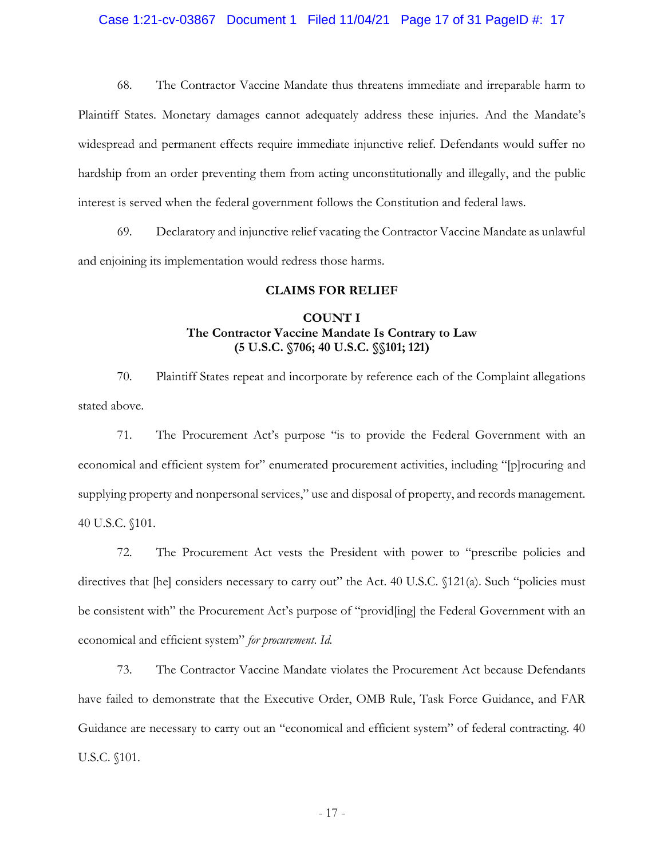#### Case 1:21-cv-03867 Document 1 Filed 11/04/21 Page 17 of 31 PageID #: 17

68. The Contractor Vaccine Mandate thus threatens immediate and irreparable harm to Plaintiff States. Monetary damages cannot adequately address these injuries. And the Mandate's widespread and permanent effects require immediate injunctive relief. Defendants would suffer no hardship from an order preventing them from acting unconstitutionally and illegally, and the public interest is served when the federal government follows the Constitution and federal laws.

69. Declaratory and injunctive relief vacating the Contractor Vaccine Mandate as unlawful and enjoining its implementation would redress those harms.

### **CLAIMS FOR RELIEF**

### **COUNT I The Contractor Vaccine Mandate Is Contrary to Law (5 U.S.C. §706; 40 U.S.C. §§101; 121)**

70. Plaintiff States repeat and incorporate by reference each of the Complaint allegations stated above.

71. The Procurement Act's purpose "is to provide the Federal Government with an economical and efficient system for" enumerated procurement activities, including "[p]rocuring and supplying property and nonpersonal services," use and disposal of property, and records management. 40 U.S.C. §101.

72. The Procurement Act vests the President with power to "prescribe policies and directives that [he] considers necessary to carry out" the Act. 40 U.S.C.  $\{121(a)$ . Such "policies must be consistent with" the Procurement Act's purpose of "provid[ing] the Federal Government with an economical and efficient system" *for procurement*. *Id.* 

73. The Contractor Vaccine Mandate violates the Procurement Act because Defendants have failed to demonstrate that the Executive Order, OMB Rule, Task Force Guidance, and FAR Guidance are necessary to carry out an "economical and efficient system" of federal contracting. 40 U.S.C. §101.

- 17 -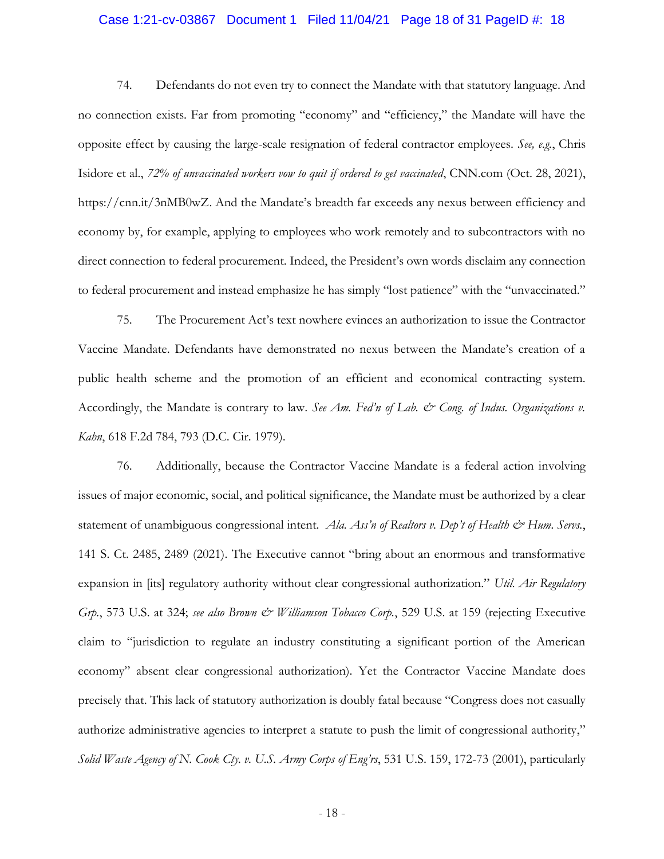#### Case 1:21-cv-03867 Document 1 Filed 11/04/21 Page 18 of 31 PageID #: 18

74. Defendants do not even try to connect the Mandate with that statutory language. And no connection exists. Far from promoting "economy" and "efficiency," the Mandate will have the opposite effect by causing the large-scale resignation of federal contractor employees. *See, e.g.*, Chris Isidore et al., *72% of unvaccinated workers vow to quit if ordered to get vaccinated*, CNN.com (Oct. 28, 2021), https://cnn.it/3nMB0wZ. And the Mandate's breadth far exceeds any nexus between efficiency and economy by, for example, applying to employees who work remotely and to subcontractors with no direct connection to federal procurement. Indeed, the President's own words disclaim any connection to federal procurement and instead emphasize he has simply "lost patience" with the "unvaccinated."

75. The Procurement Act's text nowhere evinces an authorization to issue the Contractor Vaccine Mandate. Defendants have demonstrated no nexus between the Mandate's creation of a public health scheme and the promotion of an efficient and economical contracting system. Accordingly, the Mandate is contrary to law. See Am. Fed'n of Lab. & Cong. of Indus. Organizations v. *Kahn*, 618 F.2d 784, 793 (D.C. Cir. 1979).

76. Additionally, because the Contractor Vaccine Mandate is a federal action involving issues of major economic, social, and political significance, the Mandate must be authorized by a clear statement of unambiguous congressional intent. *Ala. Ass'n of Realtors v. Dep't of Health & Hum. Servs.*, 141 S. Ct. 2485, 2489 (2021). The Executive cannot "bring about an enormous and transformative expansion in [its] regulatory authority without clear congressional authorization." *Util. Air Regulatory Grp.*, 573 U.S. at 324; *see also Brown & Williamson Tobacco Corp.*, 529 U.S. at 159 (rejecting Executive claim to "jurisdiction to regulate an industry constituting a significant portion of the American economy" absent clear congressional authorization). Yet the Contractor Vaccine Mandate does precisely that. This lack of statutory authorization is doubly fatal because "Congress does not casually authorize administrative agencies to interpret a statute to push the limit of congressional authority," *Solid Waste Agency of N. Cook Cty. v. U.S. Army Corps of Eng'rs*, 531 U.S. 159, 172-73 (2001), particularly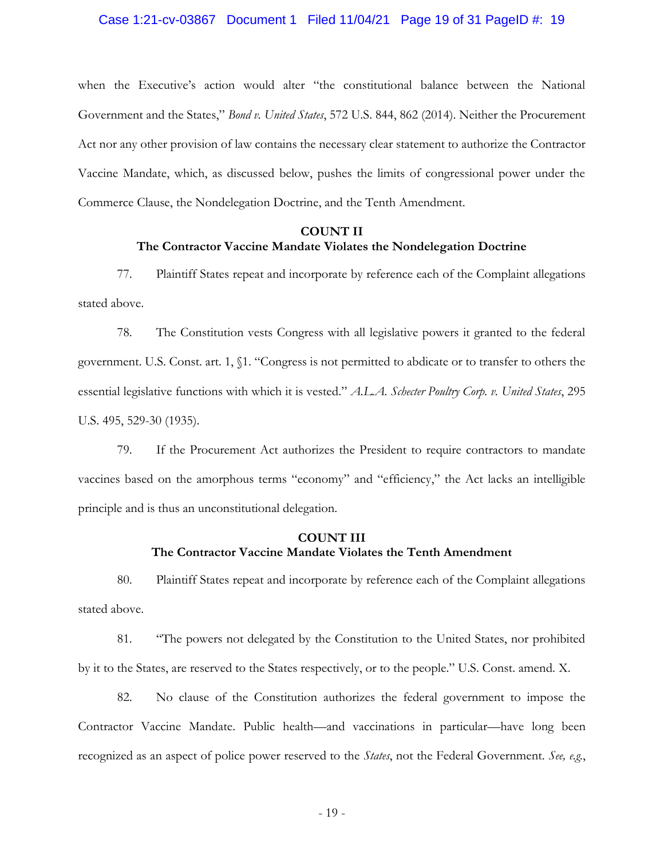#### Case 1:21-cv-03867 Document 1 Filed 11/04/21 Page 19 of 31 PageID #: 19

when the Executive's action would alter "the constitutional balance between the National Government and the States," *Bond v. United States*, 572 U.S. 844, 862 (2014). Neither the Procurement Act nor any other provision of law contains the necessary clear statement to authorize the Contractor Vaccine Mandate, which, as discussed below, pushes the limits of congressional power under the Commerce Clause, the Nondelegation Doctrine, and the Tenth Amendment.

# **COUNT II The Contractor Vaccine Mandate Violates the Nondelegation Doctrine**

77. Plaintiff States repeat and incorporate by reference each of the Complaint allegations stated above.

78. The Constitution vests Congress with all legislative powers it granted to the federal government. U.S. Const. art. 1, §1. "Congress is not permitted to abdicate or to transfer to others the essential legislative functions with which it is vested." *A.L.A. Schecter Poultry Corp. v. United States*, 295 U.S. 495, 529-30 (1935).

79. If the Procurement Act authorizes the President to require contractors to mandate vaccines based on the amorphous terms "economy" and "efficiency," the Act lacks an intelligible principle and is thus an unconstitutional delegation.

## **COUNT III The Contractor Vaccine Mandate Violates the Tenth Amendment**

80. Plaintiff States repeat and incorporate by reference each of the Complaint allegations stated above.

81. "The powers not delegated by the Constitution to the United States, nor prohibited by it to the States, are reserved to the States respectively, or to the people." U.S. Const. amend. X.

82. No clause of the Constitution authorizes the federal government to impose the Contractor Vaccine Mandate. Public health—and vaccinations in particular—have long been recognized as an aspect of police power reserved to the *States*, not the Federal Government. *See, e.g.*,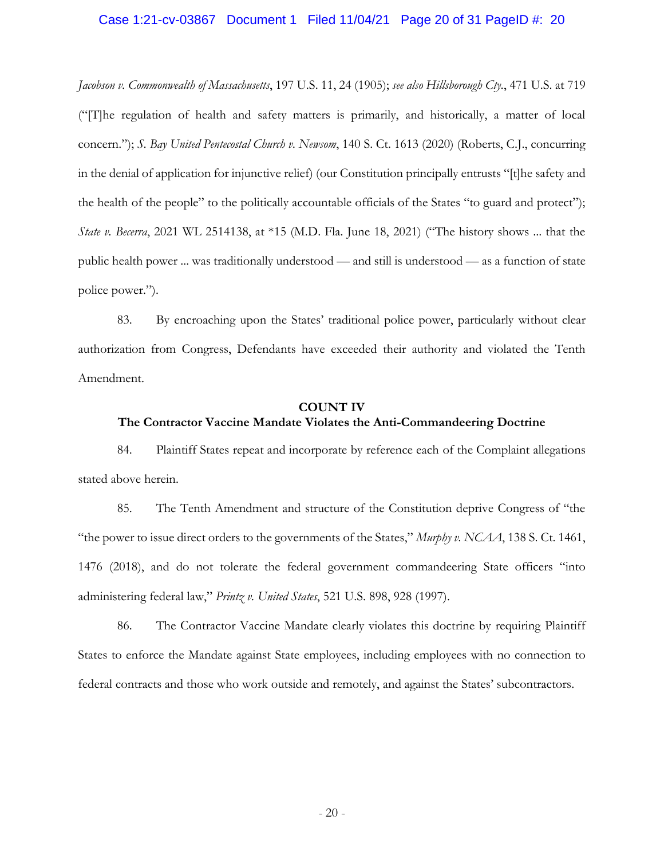#### Case 1:21-cv-03867 Document 1 Filed 11/04/21 Page 20 of 31 PageID #: 20

*Jacobson v. Commonwealth of Massachusetts*, 197 U.S. 11, 24 (1905); *see also Hillsborough Cty.*, 471 U.S. at 719 ("[T]he regulation of health and safety matters is primarily, and historically, a matter of local concern."); *S. Bay United Pentecostal Church v. Newsom*, 140 S. Ct. 1613 (2020) (Roberts, C.J., concurring in the denial of application for injunctive relief) (our Constitution principally entrusts "[t]he safety and the health of the people" to the politically accountable officials of the States "to guard and protect"); *State v. Becerra*, 2021 WL 2514138, at \*15 (M.D. Fla. June 18, 2021) ("The history shows ... that the public health power ... was traditionally understood — and still is understood — as a function of state police power.").

83. By encroaching upon the States' traditional police power, particularly without clear authorization from Congress, Defendants have exceeded their authority and violated the Tenth Amendment.

#### **COUNT IV**

#### **The Contractor Vaccine Mandate Violates the Anti-Commandeering Doctrine**

84. Plaintiff States repeat and incorporate by reference each of the Complaint allegations stated above herein.

85. The Tenth Amendment and structure of the Constitution deprive Congress of "the "the power to issue direct orders to the governments of the States," *Murphy v. NCAA*, 138 S. Ct. 1461, 1476 (2018), and do not tolerate the federal government commandeering State officers "into administering federal law," *Printz v. United States*, 521 U.S. 898, 928 (1997).

86. The Contractor Vaccine Mandate clearly violates this doctrine by requiring Plaintiff States to enforce the Mandate against State employees, including employees with no connection to federal contracts and those who work outside and remotely, and against the States' subcontractors.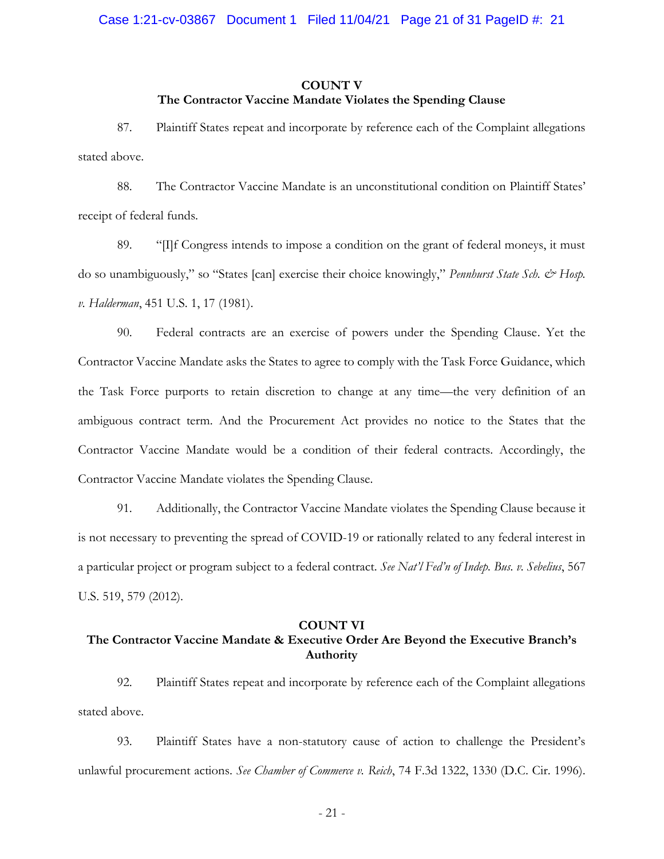#### **COUNT V**

#### **The Contractor Vaccine Mandate Violates the Spending Clause**

87. Plaintiff States repeat and incorporate by reference each of the Complaint allegations stated above.

88. The Contractor Vaccine Mandate is an unconstitutional condition on Plaintiff States' receipt of federal funds.

89. "[I]f Congress intends to impose a condition on the grant of federal moneys, it must do so unambiguously," so "States [can] exercise their choice knowingly," *Pennhurst State Sch. & Hosp. v. Halderman*, 451 U.S. 1, 17 (1981).

90. Federal contracts are an exercise of powers under the Spending Clause. Yet the Contractor Vaccine Mandate asks the States to agree to comply with the Task Force Guidance, which the Task Force purports to retain discretion to change at any time—the very definition of an ambiguous contract term. And the Procurement Act provides no notice to the States that the Contractor Vaccine Mandate would be a condition of their federal contracts. Accordingly, the Contractor Vaccine Mandate violates the Spending Clause.

91. Additionally, the Contractor Vaccine Mandate violates the Spending Clause because it is not necessary to preventing the spread of COVID-19 or rationally related to any federal interest in a particular project or program subject to a federal contract. *See Nat'l Fed'n of Indep. Bus. v. Sebelius*, 567 U.S. 519, 579 (2012).

#### **COUNT VI**

# **The Contractor Vaccine Mandate & Executive Order Are Beyond the Executive Branch's Authority**

92. Plaintiff States repeat and incorporate by reference each of the Complaint allegations stated above.

93. Plaintiff States have a non-statutory cause of action to challenge the President's unlawful procurement actions. *See Chamber of Commerce v. Reich*, 74 F.3d 1322, 1330 (D.C. Cir. 1996).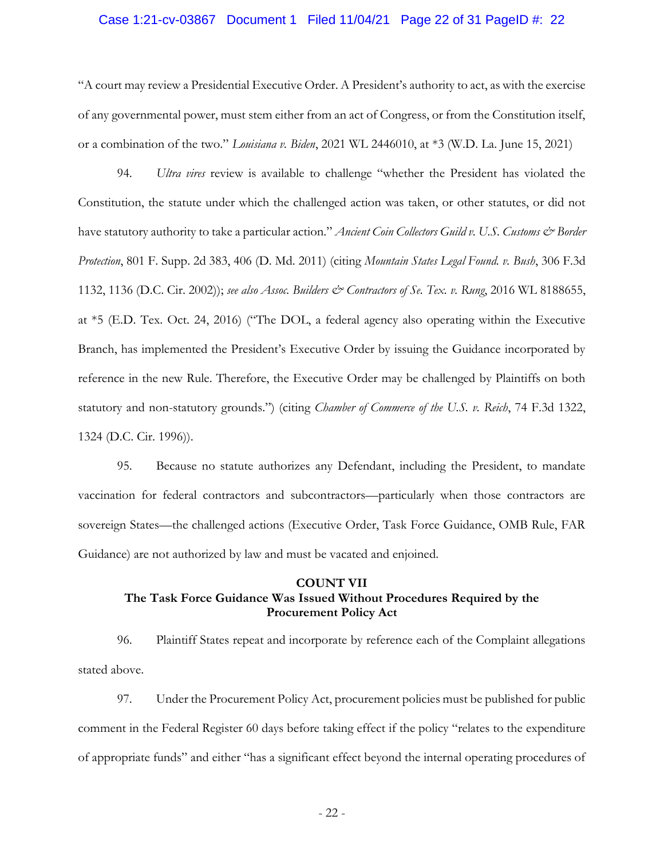#### Case 1:21-cv-03867 Document 1 Filed 11/04/21 Page 22 of 31 PageID #: 22

"A court may review a Presidential Executive Order. A President's authority to act, as with the exercise of any governmental power, must stem either from an act of Congress, or from the Constitution itself, or a combination of the two." *Louisiana v. Biden*, 2021 WL 2446010, at \*3 (W.D. La. June 15, 2021)

94. *Ultra vires* review is available to challenge "whether the President has violated the Constitution, the statute under which the challenged action was taken, or other statutes, or did not have statutory authority to take a particular action." *Ancient Coin Collectors Guild v. U.S. Customs & Border Protection*, 801 F. Supp. 2d 383, 406 (D. Md. 2011) (citing *Mountain States Legal Found. v. Bush*, 306 F.3d 1132, 1136 (D.C. Cir. 2002)); *see also Assoc. Builders & Contractors of Se. Tex. v. Rung*, 2016 WL 8188655, at \*5 (E.D. Tex. Oct. 24, 2016) ("The DOL, a federal agency also operating within the Executive Branch, has implemented the President's Executive Order by issuing the Guidance incorporated by reference in the new Rule. Therefore, the Executive Order may be challenged by Plaintiffs on both statutory and non-statutory grounds.") (citing *Chamber of Commerce of the U.S. v. Reich*, 74 F.3d 1322, 1324 (D.C. Cir. 1996)).

95. Because no statute authorizes any Defendant, including the President, to mandate vaccination for federal contractors and subcontractors—particularly when those contractors are sovereign States—the challenged actions (Executive Order, Task Force Guidance, OMB Rule, FAR Guidance) are not authorized by law and must be vacated and enjoined.

## **COUNT VII The Task Force Guidance Was Issued Without Procedures Required by the Procurement Policy Act**

96. Plaintiff States repeat and incorporate by reference each of the Complaint allegations stated above.

97. Under the Procurement Policy Act, procurement policies must be published for public comment in the Federal Register 60 days before taking effect if the policy "relates to the expenditure of appropriate funds" and either "has a significant effect beyond the internal operating procedures of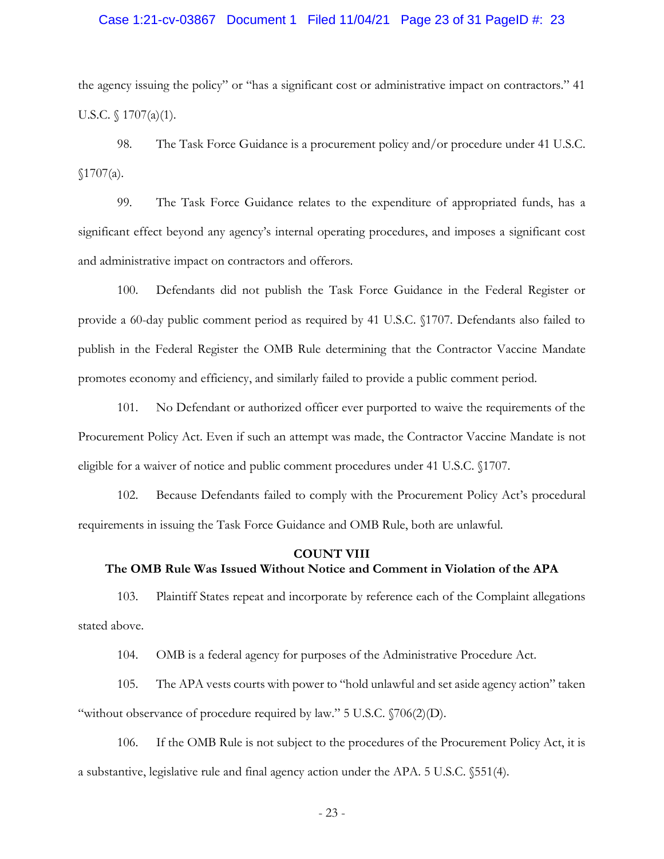#### Case 1:21-cv-03867 Document 1 Filed 11/04/21 Page 23 of 31 PageID #: 23

the agency issuing the policy" or "has a significant cost or administrative impact on contractors." 41 U.S.C. § 1707(a)(1).

98. The Task Force Guidance is a procurement policy and/or procedure under 41 U.S.C.  $$1707(a).$ 

99. The Task Force Guidance relates to the expenditure of appropriated funds, has a significant effect beyond any agency's internal operating procedures, and imposes a significant cost and administrative impact on contractors and offerors.

100. Defendants did not publish the Task Force Guidance in the Federal Register or provide a 60-day public comment period as required by 41 U.S.C. §1707. Defendants also failed to publish in the Federal Register the OMB Rule determining that the Contractor Vaccine Mandate promotes economy and efficiency, and similarly failed to provide a public comment period.

101. No Defendant or authorized officer ever purported to waive the requirements of the Procurement Policy Act. Even if such an attempt was made, the Contractor Vaccine Mandate is not eligible for a waiver of notice and public comment procedures under 41 U.S.C. §1707.

102. Because Defendants failed to comply with the Procurement Policy Act's procedural requirements in issuing the Task Force Guidance and OMB Rule, both are unlawful.

#### **COUNT VIII**

## **The OMB Rule Was Issued Without Notice and Comment in Violation of the APA**

103. Plaintiff States repeat and incorporate by reference each of the Complaint allegations stated above.

104. OMB is a federal agency for purposes of the Administrative Procedure Act.

105. The APA vests courts with power to "hold unlawful and set aside agency action" taken "without observance of procedure required by law."  $5 \text{ U.S.C. } \sqrt{706(2)(D)}$ .

106. If the OMB Rule is not subject to the procedures of the Procurement Policy Act, it is a substantive, legislative rule and final agency action under the APA. 5 U.S.C. §551(4).

- 23 -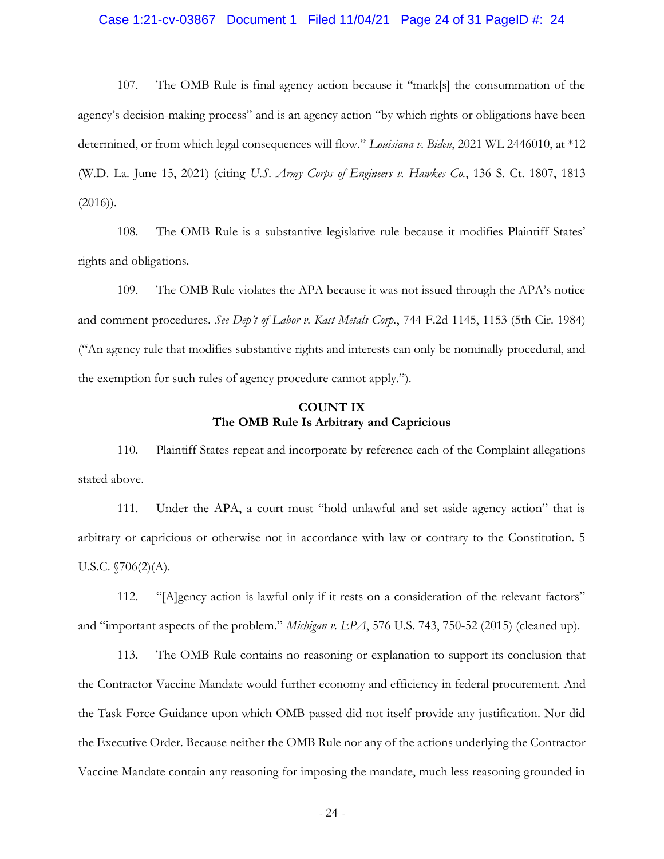#### Case 1:21-cv-03867 Document 1 Filed 11/04/21 Page 24 of 31 PageID #: 24

107. The OMB Rule is final agency action because it "mark[s] the consummation of the agency's decision-making process" and is an agency action "by which rights or obligations have been determined, or from which legal consequences will flow." *Louisiana v. Biden*, 2021 WL 2446010, at \*12 (W.D. La. June 15, 2021) (citing *U.S. Army Corps of Engineers v. Hawkes Co.*, 136 S. Ct. 1807, 1813  $(2016)$ .

108. The OMB Rule is a substantive legislative rule because it modifies Plaintiff States' rights and obligations.

109. The OMB Rule violates the APA because it was not issued through the APA's notice and comment procedures. *See Dep't of Labor v. Kast Metals Corp.*, 744 F.2d 1145, 1153 (5th Cir. 1984) ("An agency rule that modifies substantive rights and interests can only be nominally procedural, and the exemption for such rules of agency procedure cannot apply.").

# **COUNT IX The OMB Rule Is Arbitrary and Capricious**

110. Plaintiff States repeat and incorporate by reference each of the Complaint allegations stated above.

111. Under the APA, a court must "hold unlawful and set aside agency action" that is arbitrary or capricious or otherwise not in accordance with law or contrary to the Constitution. 5 U.S.C. §706(2)(A).

112. "[A]gency action is lawful only if it rests on a consideration of the relevant factors" and "important aspects of the problem." *Michigan v. EPA*, 576 U.S. 743, 750-52 (2015) (cleaned up).

113. The OMB Rule contains no reasoning or explanation to support its conclusion that the Contractor Vaccine Mandate would further economy and efficiency in federal procurement. And the Task Force Guidance upon which OMB passed did not itself provide any justification. Nor did the Executive Order. Because neither the OMB Rule nor any of the actions underlying the Contractor Vaccine Mandate contain any reasoning for imposing the mandate, much less reasoning grounded in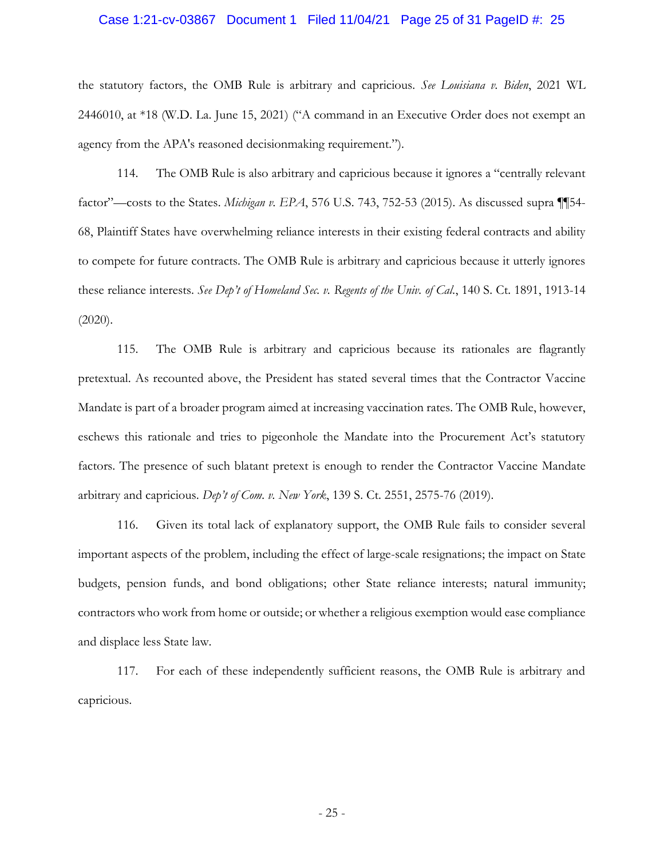#### Case 1:21-cv-03867 Document 1 Filed 11/04/21 Page 25 of 31 PageID #: 25

the statutory factors, the OMB Rule is arbitrary and capricious. *See Louisiana v. Biden*, 2021 WL 2446010, at \*18 (W.D. La. June 15, 2021) ("A command in an Executive Order does not exempt an agency from the APA's reasoned decisionmaking requirement.").

114. The OMB Rule is also arbitrary and capricious because it ignores a "centrally relevant factor"—costs to the States. *Michigan v. EPA*, 576 U.S. 743, 752-53 (2015). As discussed supra ¶¶54- 68, Plaintiff States have overwhelming reliance interests in their existing federal contracts and ability to compete for future contracts. The OMB Rule is arbitrary and capricious because it utterly ignores these reliance interests. *See Dep't of Homeland Sec. v. Regents of the Univ. of Cal.*, 140 S. Ct. 1891, 1913-14  $(2020)$ .

115. The OMB Rule is arbitrary and capricious because its rationales are flagrantly pretextual. As recounted above, the President has stated several times that the Contractor Vaccine Mandate is part of a broader program aimed at increasing vaccination rates. The OMB Rule, however, eschews this rationale and tries to pigeonhole the Mandate into the Procurement Act's statutory factors. The presence of such blatant pretext is enough to render the Contractor Vaccine Mandate arbitrary and capricious. *Dep't of Com. v. New York*, 139 S. Ct. 2551, 2575-76 (2019).

116. Given its total lack of explanatory support, the OMB Rule fails to consider several important aspects of the problem, including the effect of large-scale resignations; the impact on State budgets, pension funds, and bond obligations; other State reliance interests; natural immunity; contractors who work from home or outside; or whether a religious exemption would ease compliance and displace less State law.

117. For each of these independently sufficient reasons, the OMB Rule is arbitrary and capricious.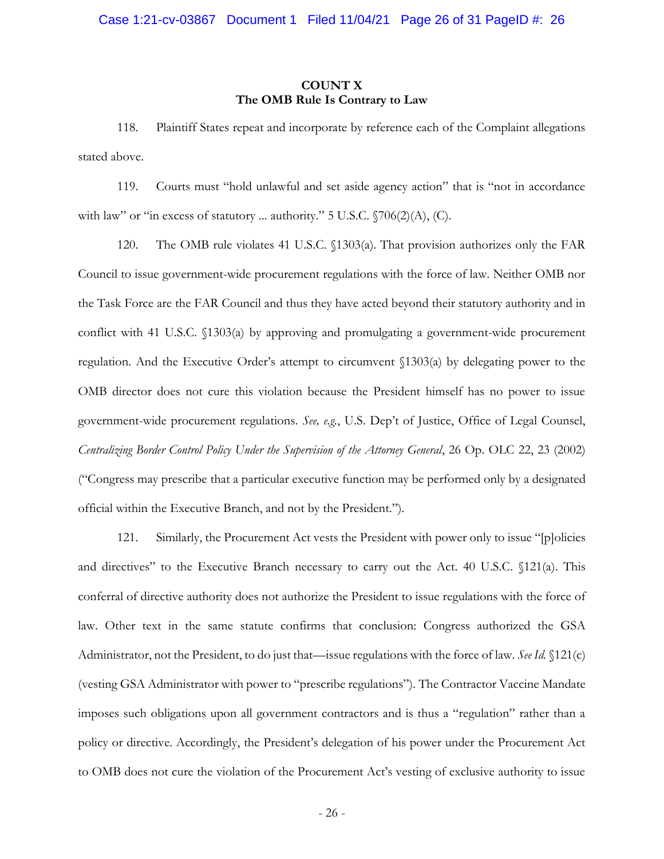### **COUNT X The OMB Rule Is Contrary to Law**

118. Plaintiff States repeat and incorporate by reference each of the Complaint allegations stated above.

119. Courts must "hold unlawful and set aside agency action" that is "not in accordance with law" or "in excess of statutory ... authority." 5 U.S.C.  $\sqrt{706(2)}$ (A), (C).

120. The OMB rule violates 41 U.S.C. §1303(a). That provision authorizes only the FAR Council to issue government-wide procurement regulations with the force of law. Neither OMB nor the Task Force are the FAR Council and thus they have acted beyond their statutory authority and in conflict with 41 U.S.C. §1303(a) by approving and promulgating a government-wide procurement regulation. And the Executive Order's attempt to circumvent §1303(a) by delegating power to the OMB director does not cure this violation because the President himself has no power to issue government-wide procurement regulations. *See, e.g.*, U.S. Dep't of Justice, Office of Legal Counsel, *Centralizing Border Control Policy Under the Supervision of the Attorney General*, 26 Op. OLC 22, 23 (2002) ("Congress may prescribe that a particular executive function may be performed only by a designated official within the Executive Branch, and not by the President.").

121. Similarly, the Procurement Act vests the President with power only to issue "[p]olicies and directives" to the Executive Branch necessary to carry out the Act. 40 U.S.C. §121(a). This conferral of directive authority does not authorize the President to issue regulations with the force of law. Other text in the same statute confirms that conclusion: Congress authorized the GSA Administrator, not the President, to do just that—issue regulations with the force of law. *See Id.* §121(c) (vesting GSA Administrator with power to "prescribe regulations"). The Contractor Vaccine Mandate imposes such obligations upon all government contractors and is thus a "regulation" rather than a policy or directive. Accordingly, the President's delegation of his power under the Procurement Act to OMB does not cure the violation of the Procurement Act's vesting of exclusive authority to issue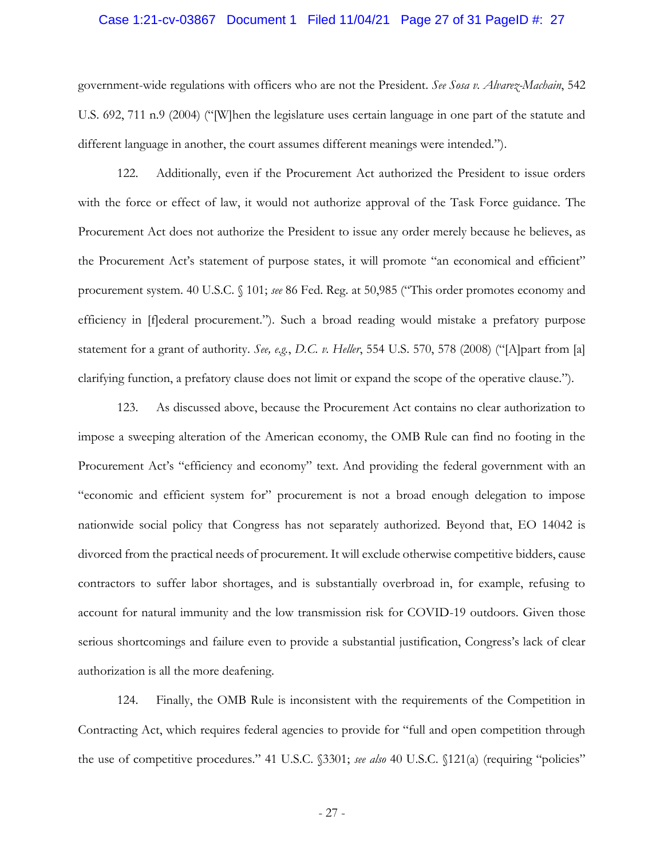#### Case 1:21-cv-03867 Document 1 Filed 11/04/21 Page 27 of 31 PageID #: 27

government-wide regulations with officers who are not the President. *See Sosa v. Alvarez-Machain*, 542 U.S. 692, 711 n.9 (2004) ("[W]hen the legislature uses certain language in one part of the statute and different language in another, the court assumes different meanings were intended.").

122. Additionally, even if the Procurement Act authorized the President to issue orders with the force or effect of law, it would not authorize approval of the Task Force guidance. The Procurement Act does not authorize the President to issue any order merely because he believes, as the Procurement Act's statement of purpose states, it will promote "an economical and efficient" procurement system. 40 U.S.C. § 101; *see* 86 Fed. Reg. at 50,985 ("This order promotes economy and efficiency in [f]ederal procurement."). Such a broad reading would mistake a prefatory purpose statement for a grant of authority. *See, e.g.*, *D.C. v. Heller*, 554 U.S. 570, 578 (2008) ("[A]part from [a] clarifying function, a prefatory clause does not limit or expand the scope of the operative clause.").

123. As discussed above, because the Procurement Act contains no clear authorization to impose a sweeping alteration of the American economy, the OMB Rule can find no footing in the Procurement Act's "efficiency and economy" text. And providing the federal government with an "economic and efficient system for" procurement is not a broad enough delegation to impose nationwide social policy that Congress has not separately authorized. Beyond that, EO 14042 is divorced from the practical needs of procurement. It will exclude otherwise competitive bidders, cause contractors to suffer labor shortages, and is substantially overbroad in, for example, refusing to account for natural immunity and the low transmission risk for COVID-19 outdoors. Given those serious shortcomings and failure even to provide a substantial justification, Congress's lack of clear authorization is all the more deafening.

124. Finally, the OMB Rule is inconsistent with the requirements of the Competition in Contracting Act, which requires federal agencies to provide for "full and open competition through the use of competitive procedures." 41 U.S.C. §3301; *see also* 40 U.S.C. §121(a) (requiring "policies"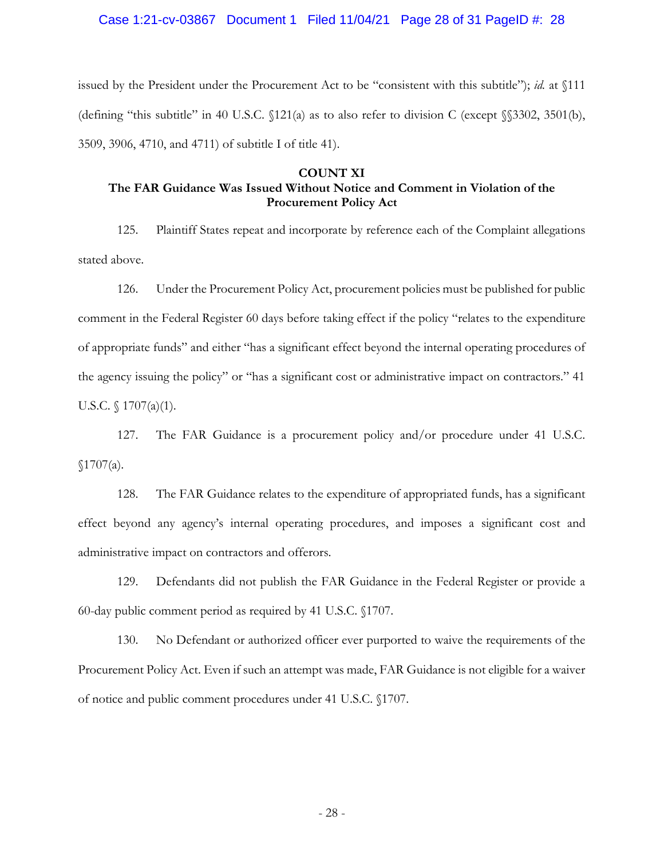#### Case 1:21-cv-03867 Document 1 Filed 11/04/21 Page 28 of 31 PageID #: 28

issued by the President under the Procurement Act to be "consistent with this subtitle"); *id.* at §111 (defining "this subtitle" in 40 U.S.C. §121(a) as to also refer to division C (except §§3302, 3501(b), 3509, 3906, 4710, and 4711) of subtitle I of title 41).

#### **COUNT XI**

## **The FAR Guidance Was Issued Without Notice and Comment in Violation of the Procurement Policy Act**

125. Plaintiff States repeat and incorporate by reference each of the Complaint allegations stated above.

126. Under the Procurement Policy Act, procurement policies must be published for public comment in the Federal Register 60 days before taking effect if the policy "relates to the expenditure of appropriate funds" and either "has a significant effect beyond the internal operating procedures of the agency issuing the policy" or "has a significant cost or administrative impact on contractors." 41 U.S.C. § 1707(a)(1).

127. The FAR Guidance is a procurement policy and/or procedure under 41 U.S.C.  $$1707(a).$ 

128. The FAR Guidance relates to the expenditure of appropriated funds, has a significant effect beyond any agency's internal operating procedures, and imposes a significant cost and administrative impact on contractors and offerors.

129. Defendants did not publish the FAR Guidance in the Federal Register or provide a 60-day public comment period as required by 41 U.S.C. §1707.

130. No Defendant or authorized officer ever purported to waive the requirements of the Procurement Policy Act. Even if such an attempt was made, FAR Guidance is not eligible for a waiver of notice and public comment procedures under 41 U.S.C. §1707.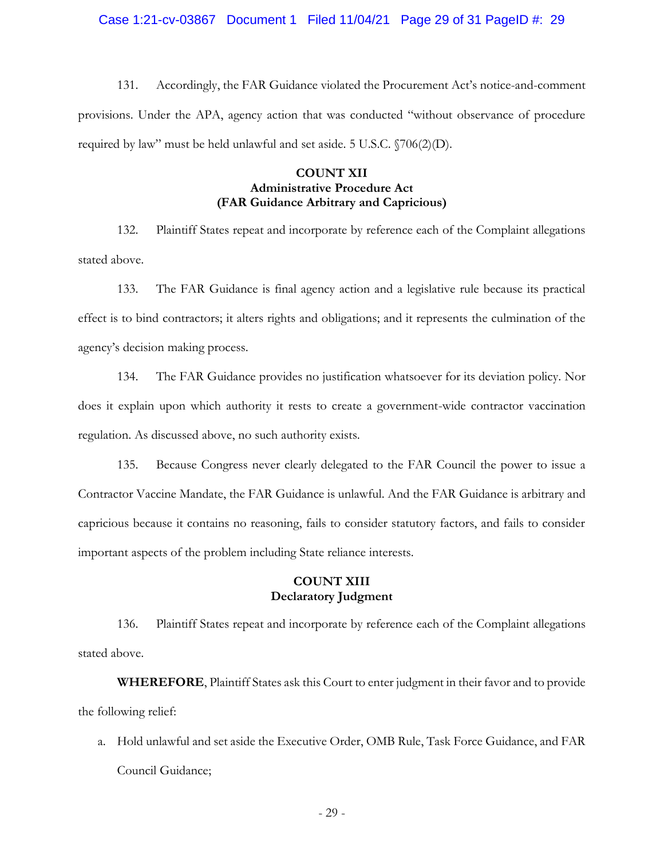Case 1:21-cv-03867 Document 1 Filed 11/04/21 Page 29 of 31 PageID #: 29

131. Accordingly, the FAR Guidance violated the Procurement Act's notice-and-comment provisions. Under the APA, agency action that was conducted "without observance of procedure required by law" must be held unlawful and set aside. 5 U.S.C. §706(2)(D).

### **COUNT XII Administrative Procedure Act (FAR Guidance Arbitrary and Capricious)**

132. Plaintiff States repeat and incorporate by reference each of the Complaint allegations stated above.

133. The FAR Guidance is final agency action and a legislative rule because its practical effect is to bind contractors; it alters rights and obligations; and it represents the culmination of the agency's decision making process.

134. The FAR Guidance provides no justification whatsoever for its deviation policy. Nor does it explain upon which authority it rests to create a government-wide contractor vaccination regulation. As discussed above, no such authority exists.

135. Because Congress never clearly delegated to the FAR Council the power to issue a Contractor Vaccine Mandate, the FAR Guidance is unlawful. And the FAR Guidance is arbitrary and capricious because it contains no reasoning, fails to consider statutory factors, and fails to consider important aspects of the problem including State reliance interests.

## **COUNT XIII Declaratory Judgment**

136. Plaintiff States repeat and incorporate by reference each of the Complaint allegations stated above.

**WHEREFORE**, Plaintiff States ask this Court to enter judgment in their favor and to provide the following relief:

a. Hold unlawful and set aside the Executive Order, OMB Rule, Task Force Guidance, and FAR Council Guidance;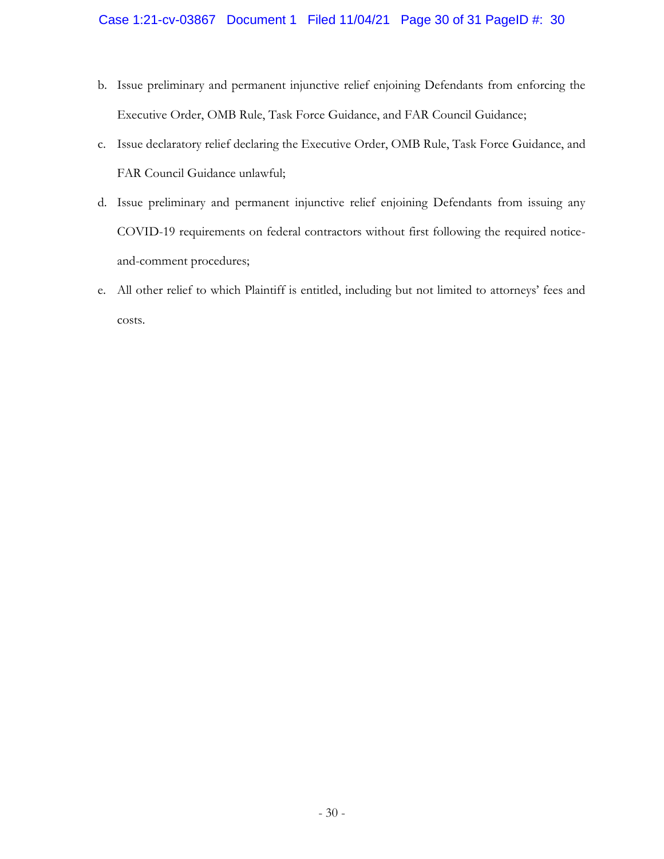# Case 1:21-cv-03867 Document 1 Filed 11/04/21 Page 30 of 31 PageID #: 30

- b. Issue preliminary and permanent injunctive relief enjoining Defendants from enforcing the Executive Order, OMB Rule, Task Force Guidance, and FAR Council Guidance;
- c. Issue declaratory relief declaring the Executive Order, OMB Rule, Task Force Guidance, and FAR Council Guidance unlawful;
- d. Issue preliminary and permanent injunctive relief enjoining Defendants from issuing any COVID-19 requirements on federal contractors without first following the required noticeand-comment procedures;
- e. All other relief to which Plaintiff is entitled, including but not limited to attorneys' fees and costs.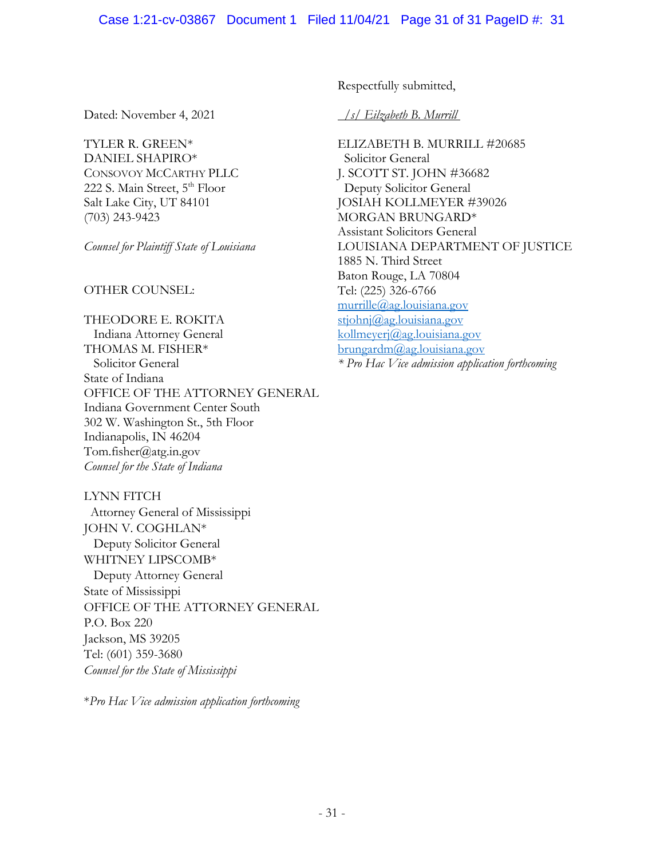Dated: November 4, 2021

TYLER R. GREEN\* DANIEL SHAPIRO\* CONSOVOY MCCARTHY PLLC 222 S. Main Street, 5<sup>th</sup> Floor Salt Lake City, UT 84101 (703) 243-9423

*Counsel for Plaintiff State of Louisiana*

OTHER COUNSEL:

THEODORE E. ROKITA Indiana Attorney General THOMAS M. FISHER\* Solicitor General State of Indiana OFFICE OF THE ATTORNEY GENERAL Indiana Government Center South 302 W. Washington St., 5th Floor Indianapolis, IN 46204 Tom.fisher@atg.in.gov *Counsel for the State of Indiana*

LYNN FITCH Attorney General of Mississippi JOHN V. COGHLAN\* Deputy Solicitor General WHITNEY LIPSCOMB\* Deputy Attorney General State of Mississippi OFFICE OF THE ATTORNEY GENERAL P.O. Box 220 Jackson, MS 39205 Tel: (601) 359-3680 *Counsel for the State of Mississippi* 

\**Pro Hac Vice admission application forthcoming*

Respectfully submitted,

 */s/ Eilzabeth B. Murrill T*

ELIZABETH B. MURRILL #20685 Solicitor General J. SCOTT ST. JOHN #36682 Deputy Solicitor General JOSIAH KOLLMEYER #39026 MORGAN BRUNGARD\* Assistant Solicitors General LOUISIANA DEPARTMENT OF JUSTICE 1885 N. Third Street Baton Rouge, LA 70804 Tel: (225) 326-6766 [murrille@ag.louisiana.gov](mailto:murrille@ag.louisiana.gov) [stjohnj@ag.louisiana.gov](mailto:stjohnj@ag.louisiana.gov) [kollmeyerj@ag.louisiana.gov](mailto:kollmeyerj@ag.louisiana.gov) [brungardm@ag.louisiana.gov](mailto:brungardm@ag.louisiana.gov) *\* Pro Hac Vice admission application forthcoming*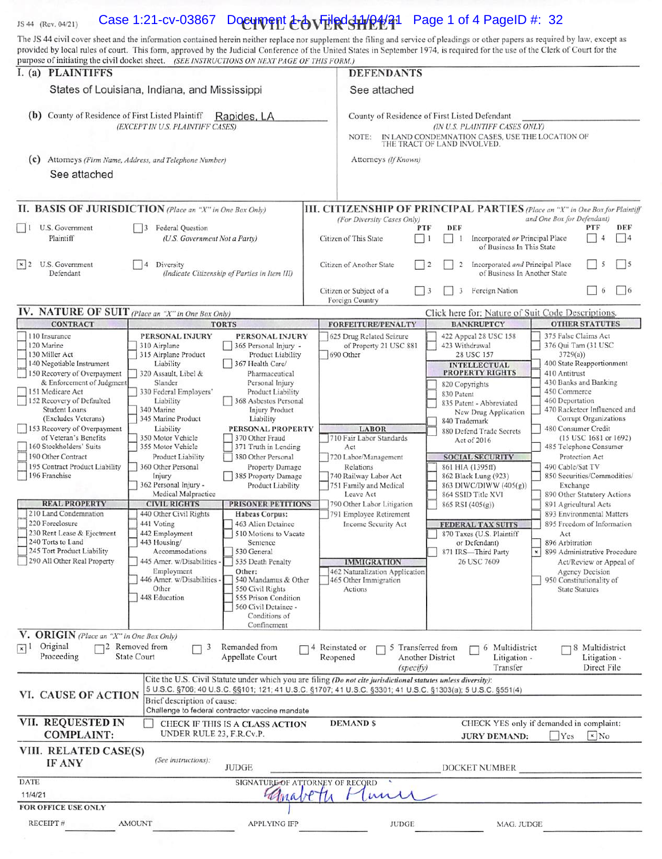#### Case 1:21-cv-03867 Document  $\&$  by Filed 11/2#21 Page 1 of 4 PageID #: 32 JS 44 (Rev. 04/21)

The JS 44 civil cover sheet and the information contained herein neither replace nor supplement the filing and service of pleadings or other papers as required by law, except as

|                                                                                                                                                                                                                                                                                                                                                                                                                                                                                                                                                                                 | purpose of initiating the civil docket sheet. (SEE INSTRUCTIONS ON NEXT PAGE OF THIS FORM.)                                                                                                                                                                                                                                                                                                                                                                                                                                                                                                                                                                                                                                                                                                                                                                                                                                                                                                                                                                                                                                                                                                                         |                                                                                                                                                                                                                                                                                                                                                                                                     |                                                                                                                                                                                                                                                                                                                                                                                                                                                                                                                                                                                                                                                                                                                                                                                                                                                                                                                                                                                                                                                                                                                                                                                                          |  |  |
|---------------------------------------------------------------------------------------------------------------------------------------------------------------------------------------------------------------------------------------------------------------------------------------------------------------------------------------------------------------------------------------------------------------------------------------------------------------------------------------------------------------------------------------------------------------------------------|---------------------------------------------------------------------------------------------------------------------------------------------------------------------------------------------------------------------------------------------------------------------------------------------------------------------------------------------------------------------------------------------------------------------------------------------------------------------------------------------------------------------------------------------------------------------------------------------------------------------------------------------------------------------------------------------------------------------------------------------------------------------------------------------------------------------------------------------------------------------------------------------------------------------------------------------------------------------------------------------------------------------------------------------------------------------------------------------------------------------------------------------------------------------------------------------------------------------|-----------------------------------------------------------------------------------------------------------------------------------------------------------------------------------------------------------------------------------------------------------------------------------------------------------------------------------------------------------------------------------------------------|----------------------------------------------------------------------------------------------------------------------------------------------------------------------------------------------------------------------------------------------------------------------------------------------------------------------------------------------------------------------------------------------------------------------------------------------------------------------------------------------------------------------------------------------------------------------------------------------------------------------------------------------------------------------------------------------------------------------------------------------------------------------------------------------------------------------------------------------------------------------------------------------------------------------------------------------------------------------------------------------------------------------------------------------------------------------------------------------------------------------------------------------------------------------------------------------------------|--|--|
| I. (a) PLAINTIFFS<br>States of Louisiana, Indiana, and Mississippi<br>County of Residence of First Listed Plaintiff<br>(b)<br>Rapides, LA<br>(EXCEPT IN U.S. PLAINTIFF CASES)                                                                                                                                                                                                                                                                                                                                                                                                   |                                                                                                                                                                                                                                                                                                                                                                                                                                                                                                                                                                                                                                                                                                                                                                                                                                                                                                                                                                                                                                                                                                                                                                                                                     | <b>DEFENDANTS</b>                                                                                                                                                                                                                                                                                                                                                                                   |                                                                                                                                                                                                                                                                                                                                                                                                                                                                                                                                                                                                                                                                                                                                                                                                                                                                                                                                                                                                                                                                                                                                                                                                          |  |  |
|                                                                                                                                                                                                                                                                                                                                                                                                                                                                                                                                                                                 |                                                                                                                                                                                                                                                                                                                                                                                                                                                                                                                                                                                                                                                                                                                                                                                                                                                                                                                                                                                                                                                                                                                                                                                                                     |                                                                                                                                                                                                                                                                                                                                                                                                     | See attached                                                                                                                                                                                                                                                                                                                                                                                                                                                                                                                                                                                                                                                                                                                                                                                                                                                                                                                                                                                                                                                                                                                                                                                             |  |  |
|                                                                                                                                                                                                                                                                                                                                                                                                                                                                                                                                                                                 |                                                                                                                                                                                                                                                                                                                                                                                                                                                                                                                                                                                                                                                                                                                                                                                                                                                                                                                                                                                                                                                                                                                                                                                                                     | County of Residence of First Listed Defendant<br>(IN U.S. PLAINTIFF CASES ONLY)<br>IN LAND CONDEMNATION CASES, USE THE LOCATION OF<br>NOTE:<br>THE TRACT OF LAND INVOLVED.                                                                                                                                                                                                                          |                                                                                                                                                                                                                                                                                                                                                                                                                                                                                                                                                                                                                                                                                                                                                                                                                                                                                                                                                                                                                                                                                                                                                                                                          |  |  |
|                                                                                                                                                                                                                                                                                                                                                                                                                                                                                                                                                                                 | (C) Attorneys (Firm Name, Address, and Telephone Number)                                                                                                                                                                                                                                                                                                                                                                                                                                                                                                                                                                                                                                                                                                                                                                                                                                                                                                                                                                                                                                                                                                                                                            | Attorneys (If Known)                                                                                                                                                                                                                                                                                                                                                                                |                                                                                                                                                                                                                                                                                                                                                                                                                                                                                                                                                                                                                                                                                                                                                                                                                                                                                                                                                                                                                                                                                                                                                                                                          |  |  |
| See attached                                                                                                                                                                                                                                                                                                                                                                                                                                                                                                                                                                    |                                                                                                                                                                                                                                                                                                                                                                                                                                                                                                                                                                                                                                                                                                                                                                                                                                                                                                                                                                                                                                                                                                                                                                                                                     |                                                                                                                                                                                                                                                                                                                                                                                                     |                                                                                                                                                                                                                                                                                                                                                                                                                                                                                                                                                                                                                                                                                                                                                                                                                                                                                                                                                                                                                                                                                                                                                                                                          |  |  |
|                                                                                                                                                                                                                                                                                                                                                                                                                                                                                                                                                                                 | II. BASIS OF JURISDICTION (Place an "X" in One Box Only)                                                                                                                                                                                                                                                                                                                                                                                                                                                                                                                                                                                                                                                                                                                                                                                                                                                                                                                                                                                                                                                                                                                                                            |                                                                                                                                                                                                                                                                                                                                                                                                     | III. CITIZENSHIP OF PRINCIPAL PARTIES (Place an "X" in One Box for Plaintiff                                                                                                                                                                                                                                                                                                                                                                                                                                                                                                                                                                                                                                                                                                                                                                                                                                                                                                                                                                                                                                                                                                                             |  |  |
| 1 U.S. Government<br>Plaintiff                                                                                                                                                                                                                                                                                                                                                                                                                                                                                                                                                  | Federal Question<br>13<br>(U.S. Government Not a Party)                                                                                                                                                                                                                                                                                                                                                                                                                                                                                                                                                                                                                                                                                                                                                                                                                                                                                                                                                                                                                                                                                                                                                             | (For Diversity Cases Only)<br>Citizen of This State                                                                                                                                                                                                                                                                                                                                                 | and One Box for Defendant)<br>DEF<br>DEF<br>PTF<br>PTF<br>Incorporated or Principal Place<br> 4<br>4<br>$\Box$<br>-1<br>of Business In This State                                                                                                                                                                                                                                                                                                                                                                                                                                                                                                                                                                                                                                                                                                                                                                                                                                                                                                                                                                                                                                                        |  |  |
| x 2<br>U.S. Government<br>Defendant                                                                                                                                                                                                                                                                                                                                                                                                                                                                                                                                             | Diversity<br>$\vert 4 \vert$<br>(Indicate Citizenship of Parties in Item III)                                                                                                                                                                                                                                                                                                                                                                                                                                                                                                                                                                                                                                                                                                                                                                                                                                                                                                                                                                                                                                                                                                                                       | Citizen of Another State                                                                                                                                                                                                                                                                                                                                                                            | 5<br>$ $   5<br>Incorporated and Principal Place<br>$\overline{2}$<br>$\frac{12}{2}$<br>of Business In Another State                                                                                                                                                                                                                                                                                                                                                                                                                                                                                                                                                                                                                                                                                                                                                                                                                                                                                                                                                                                                                                                                                     |  |  |
|                                                                                                                                                                                                                                                                                                                                                                                                                                                                                                                                                                                 |                                                                                                                                                                                                                                                                                                                                                                                                                                                                                                                                                                                                                                                                                                                                                                                                                                                                                                                                                                                                                                                                                                                                                                                                                     | Citizen or Subject of a<br>Foreign Country                                                                                                                                                                                                                                                                                                                                                          | 6<br>$ $ 6<br>Foreign Nation<br>$\vert$ 13<br>3                                                                                                                                                                                                                                                                                                                                                                                                                                                                                                                                                                                                                                                                                                                                                                                                                                                                                                                                                                                                                                                                                                                                                          |  |  |
| IV. NATURE OF SUIT (Place an "X" in One Box Only)<br><b>CONTRACT</b>                                                                                                                                                                                                                                                                                                                                                                                                                                                                                                            | <b>TORTS</b>                                                                                                                                                                                                                                                                                                                                                                                                                                                                                                                                                                                                                                                                                                                                                                                                                                                                                                                                                                                                                                                                                                                                                                                                        | <b>FORFEITURE/PENALTY</b>                                                                                                                                                                                                                                                                                                                                                                           | Click here for: Nature of Suit Code Descriptions.<br><b>OTHER STATUTES</b><br><b>BANKRUPTCY</b>                                                                                                                                                                                                                                                                                                                                                                                                                                                                                                                                                                                                                                                                                                                                                                                                                                                                                                                                                                                                                                                                                                          |  |  |
| 110 Insurance<br>120 Marine<br>130 Miller Act<br>140 Negotiable Instrument<br>150 Recovery of Overpayment<br>& Enforcement of Judgment<br>151 Medicare Act<br>152 Recovery of Defaulted<br>Student Loans<br>(Excludes Veterans)<br>153 Recovery of Overpayment<br>of Veteran's Benefits<br>160 Stockholders' Suits<br>190 Other Contract<br>195 Contract Product Liability<br>196 Franchise<br><b>REAL PROPERTY</b><br>210 Land Condemnation<br>220 Foreclosure<br>230 Rent Lease & Ejectment<br>240 Torts to Land<br>245 Tort Product Liability<br>290 All Other Real Property | PERSONAL INJURY<br>PERSONAL INJURY<br>310 Airplane<br>365 Personal Injury -<br>315 Airplane Product<br>Product Liability<br>367 Health Care/<br>Liability<br>320 Assault, Libel &<br>Pharmaceutical<br>Slander<br>Personal Injury<br>330 Federal Employers'<br>Product Liability<br>Liability<br>368 Asbestos Personal<br>340 Marine<br>Injury Product<br>345 Marine Product<br>Liability<br>PERSONAL PROPERTY<br>Liability<br>350 Motor Vehicle<br>370 Other Fraud<br>355 Motor Vehicle<br>371 Truth in Lending<br>380 Other Personal<br>Product Liability<br>360 Other Personal<br>Property Damage<br>385 Property Damage<br>Injury<br>362 Personal Injury -<br>Product Liability<br>Medical Malpractice<br><b>PRISONER PETITIONS</b><br><b>CIVIL RIGHTS</b><br>440 Other Civil Rights<br>Habeas Corpus:<br>441 Voting<br>463 Alien Detainee<br>442 Employment<br>510 Motions to Vacate<br>443 Housing/<br>Sentence<br>Accommodations<br>530 General<br>445 Amer. w/Disabilities<br>535 Death Penalty<br>Employment<br>Other:<br>446 Amer. w/Disabilities -<br>540 Mandamus & Other<br>Other<br>550 Civil Rights<br>448 Education<br>555 Prison Condition<br>560 Civil Detainee -<br>Conditions of<br>Confinement | 625 Drug Related Seizure<br>of Property 21 USC 881<br>690 Other<br><b>LABOR</b><br>710 Fair Labor Standards<br>Act<br>720 Labor/Management<br>Relations<br>740 Railway Labor Act<br>751 Family and Medical<br>Leave Act<br>790 Other Labor Litigation<br>791 Employee Retirement<br>Income Security Act<br><b>IMMIGRATION</b><br>462 Naturalization Application<br>465 Other Immigration<br>Actions | 375 False Claims Act<br>422 Appeal 28 USC 158<br>423 Withdrawal<br>376 Qui Tam (31 USC<br>28 USC 157<br>3729(a)<br>400 State Reapportionment<br><b>INTELLECTUAL</b><br><b>PROPERTY RIGHTS</b><br>410 Antitrust<br>430 Banks and Banking<br>820 Copyrights<br>450 Commerce<br>830 Patent<br>460 Deportation<br>835 Patent - Abbreviated<br>470 Racketeer Influenced and<br>New Drug Application<br>Corrupt Organizations<br>840 Trademark<br>480 Consumer Credit<br>880 Defend Trade Secrets<br>(15 USC 1681 or 1692)<br>Act of 2016<br>485 Telephone Consumer<br>Protection Act<br><b>SOCIAL SECURITY</b><br>861 HIA (1395ff)<br>490 Cable/Sat TV<br>862 Black Lung (923)<br>850 Securities/Commodities/<br>863 DIWC/DIWW (405(g))<br>Exchange<br>864 SSID Title XVI<br>890 Other Statutory Actions<br>891 Agricultural Acts<br>865 RSI (405(g))<br>893 Environmental Matters<br>895 Freedom of Information<br><b>FEDERAL TAX SUITS</b><br>870 Taxes (U.S. Plaintiff<br>Act<br>or Defendant)<br>896 Arbitration<br>871 IRS-Third Party<br>$\mathbf{x}$<br>899 Administrative Procedure<br>26 USC 7609<br>Act/Review or Appeal of<br>Agency Decision<br>950 Constitutionality of<br><b>State Statutes</b> |  |  |
| V. ORIGIN (Place an "X" in One Box Only)<br>Original<br>$x$ <sup>1</sup><br>Proceeding                                                                                                                                                                                                                                                                                                                                                                                                                                                                                          | 72 Removed from<br>Remanded from<br>3<br><b>State Court</b><br>Appellate Court                                                                                                                                                                                                                                                                                                                                                                                                                                                                                                                                                                                                                                                                                                                                                                                                                                                                                                                                                                                                                                                                                                                                      | 74 Reinstated or<br>Reopened<br>(specify)                                                                                                                                                                                                                                                                                                                                                           | 5 Transferred from<br>Multidistrict<br>8 Multidistrict<br><b>Another District</b><br>Litigation -<br>Litigation -<br>Direct File<br>Transfer                                                                                                                                                                                                                                                                                                                                                                                                                                                                                                                                                                                                                                                                                                                                                                                                                                                                                                                                                                                                                                                             |  |  |
| VI. CAUSE OF ACTION                                                                                                                                                                                                                                                                                                                                                                                                                                                                                                                                                             | Cite the U.S. Civil Statute under which you are filing (Do not cite jurisdictional statutes unless diversity):<br>5 U.S.C. §706; 40 U.S.C. §§101; 121; 41 U.S.C. §1707; 41 U.S.C. §3301; 41 U.S.C. §1303(a); 5 U.S.C. §551(4)<br>Brief description of cause:<br>Challenge to federal contractor vaccine mandate                                                                                                                                                                                                                                                                                                                                                                                                                                                                                                                                                                                                                                                                                                                                                                                                                                                                                                     |                                                                                                                                                                                                                                                                                                                                                                                                     |                                                                                                                                                                                                                                                                                                                                                                                                                                                                                                                                                                                                                                                                                                                                                                                                                                                                                                                                                                                                                                                                                                                                                                                                          |  |  |
| VII. REQUESTED IN<br><b>COMPLAINT:</b>                                                                                                                                                                                                                                                                                                                                                                                                                                                                                                                                          | CHECK IF THIS IS A CLASS ACTION<br>UNDER RULE 23, F.R.Cv.P.                                                                                                                                                                                                                                                                                                                                                                                                                                                                                                                                                                                                                                                                                                                                                                                                                                                                                                                                                                                                                                                                                                                                                         | <b>DEMANDS</b>                                                                                                                                                                                                                                                                                                                                                                                      | CHECK YES only if demanded in complaint:<br>Yes<br>x No<br><b>JURY DEMAND:</b>                                                                                                                                                                                                                                                                                                                                                                                                                                                                                                                                                                                                                                                                                                                                                                                                                                                                                                                                                                                                                                                                                                                           |  |  |
| VIII. RELATED CASE(S)<br>IF ANY                                                                                                                                                                                                                                                                                                                                                                                                                                                                                                                                                 | (See instructions):<br><b>JUDGE</b>                                                                                                                                                                                                                                                                                                                                                                                                                                                                                                                                                                                                                                                                                                                                                                                                                                                                                                                                                                                                                                                                                                                                                                                 |                                                                                                                                                                                                                                                                                                                                                                                                     | DOCKET NUMBER                                                                                                                                                                                                                                                                                                                                                                                                                                                                                                                                                                                                                                                                                                                                                                                                                                                                                                                                                                                                                                                                                                                                                                                            |  |  |
| <b>DATE</b><br>11/4/21<br>FOR OFFICE USE ONLY                                                                                                                                                                                                                                                                                                                                                                                                                                                                                                                                   | agna                                                                                                                                                                                                                                                                                                                                                                                                                                                                                                                                                                                                                                                                                                                                                                                                                                                                                                                                                                                                                                                                                                                                                                                                                | SIGNATURE OF ATTORNEY OF RECORD                                                                                                                                                                                                                                                                                                                                                                     |                                                                                                                                                                                                                                                                                                                                                                                                                                                                                                                                                                                                                                                                                                                                                                                                                                                                                                                                                                                                                                                                                                                                                                                                          |  |  |
|                                                                                                                                                                                                                                                                                                                                                                                                                                                                                                                                                                                 |                                                                                                                                                                                                                                                                                                                                                                                                                                                                                                                                                                                                                                                                                                                                                                                                                                                                                                                                                                                                                                                                                                                                                                                                                     |                                                                                                                                                                                                                                                                                                                                                                                                     |                                                                                                                                                                                                                                                                                                                                                                                                                                                                                                                                                                                                                                                                                                                                                                                                                                                                                                                                                                                                                                                                                                                                                                                                          |  |  |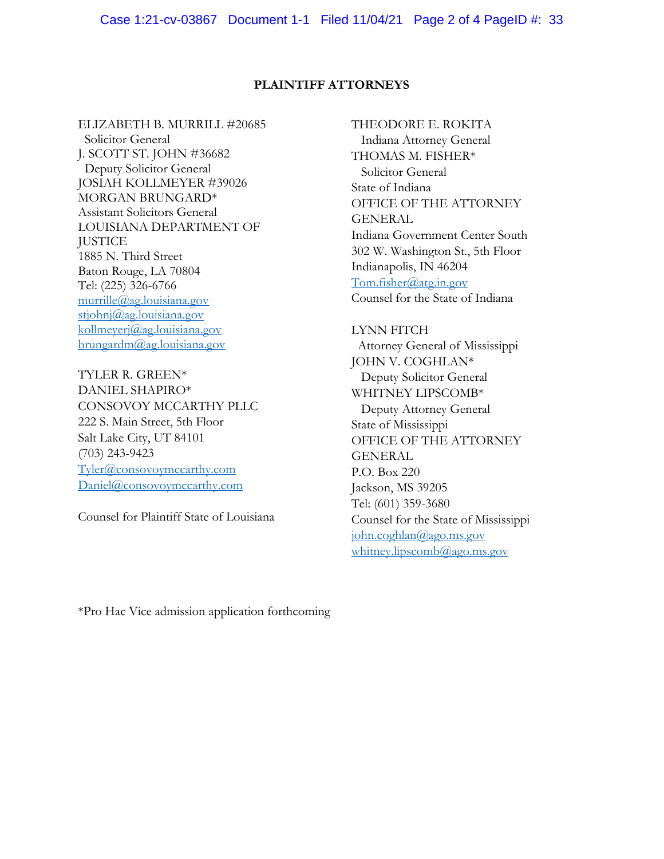### **PLAINTIFF ATTORNEYS**

ELIZABETH B. MURRILL #20685 Solicitor General J. SCOTT ST. JOHN #36682 Deputy Solicitor General JOSIAH KOLLMEYER #39026 MORGAN BRUNGARD\* Assistant Solicitors General LOUISIANA DEPARTMENT OF **JUSTICE** 1885 N. Third Street Baton Rouge, LA 70804 Tel: (225) 326-6766 [murrille@ag.louisiana.gov](mailto:murrille@ag.louisiana.gov) [stjohnj@ag.louisiana.gov](mailto:stjohnj@ag.louisiana.gov) [kollmeyerj@ag.louisiana.gov](mailto:kollmeyerj@ag.louisiana.gov) [brungardm@ag.louisiana.gov](mailto:brungardm@ag.louisiana.gov)

TYLER R. GREEN\* DANIEL SHAPIRO\* CONSOVOY MCCARTHY PLLC 222 S. Main Street, 5th Floor Salt Lake City, UT 84101 (703) 243-9423 [Tyler@consovoymccarthy.com](mailto:Tyler@consovoymccarthy.com) [Daniel@consovoymccarthy.com](mailto:Daniel@consovoymccarthy.com)

Counsel for Plaintiff State of Louisiana

THEODORE E. ROKITA Indiana Attorney General THOMAS M. FISHER\* Solicitor General State of Indiana OFFICE OF THE ATTORNEY GENERAL Indiana Government Center South 302 W. Washington St., 5th Floor Indianapolis, IN 46204 [Tom.fisher@atg.in.gov](mailto:Tom.fisher@atg.in.gov) Counsel for the State of Indiana

LYNN FITCH Attorney General of Mississippi JOHN V. COGHLAN\* Deputy Solicitor General WHITNEY LIPSCOMB\* Deputy Attorney General State of Mississippi OFFICE OF THE ATTORNEY **GENERAL** P.O. Box 220 Jackson, MS 39205 Tel: (601) 359-3680 Counsel for the State of Mississippi [john.coghlan@ago.ms.gov](mailto:john.coghlan@ago.ms.gov) [whitney.lipscomb@ago.ms.gov](mailto:whitney.lipscomb@ago.ms.gov)

\*Pro Hac Vice admission application forthcoming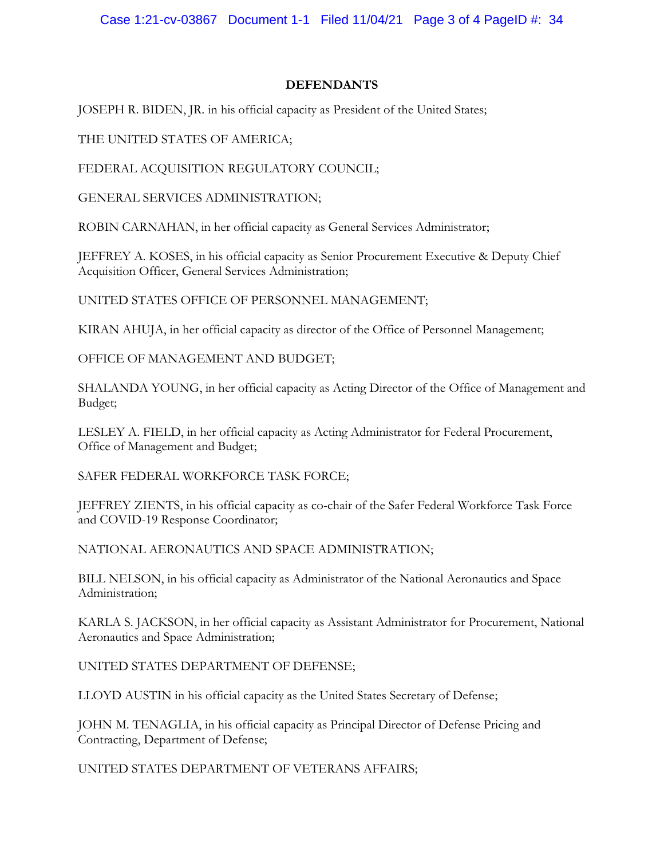Case 1:21-cv-03867 Document 1-1 Filed 11/04/21 Page 3 of 4 PageID #: 34

### **DEFENDANTS**

JOSEPH R. BIDEN, JR. in his official capacity as President of the United States;

THE UNITED STATES OF AMERICA;

FEDERAL ACQUISITION REGULATORY COUNCIL;

GENERAL SERVICES ADMINISTRATION;

ROBIN CARNAHAN, in her official capacity as General Services Administrator;

JEFFREY A. KOSES, in his official capacity as Senior Procurement Executive & Deputy Chief Acquisition Officer, General Services Administration;

UNITED STATES OFFICE OF PERSONNEL MANAGEMENT;

KIRAN AHUJA, in her official capacity as director of the Office of Personnel Management;

OFFICE OF MANAGEMENT AND BUDGET;

SHALANDA YOUNG, in her official capacity as Acting Director of the Office of Management and Budget;

LESLEY A. FIELD, in her official capacity as Acting Administrator for Federal Procurement, Office of Management and Budget;

SAFER FEDERAL WORKFORCE TASK FORCE;

JEFFREY ZIENTS, in his official capacity as co-chair of the Safer Federal Workforce Task Force and COVID-19 Response Coordinator;

NATIONAL AERONAUTICS AND SPACE ADMINISTRATION;

BILL NELSON, in his official capacity as Administrator of the National Aeronautics and Space Administration;

KARLA S. JACKSON, in her official capacity as Assistant Administrator for Procurement, National Aeronautics and Space Administration;

UNITED STATES DEPARTMENT OF DEFENSE;

LLOYD AUSTIN in his official capacity as the United States Secretary of Defense;

JOHN M. TENAGLIA, in his official capacity as Principal Director of Defense Pricing and Contracting, Department of Defense;

UNITED STATES DEPARTMENT OF VETERANS AFFAIRS;